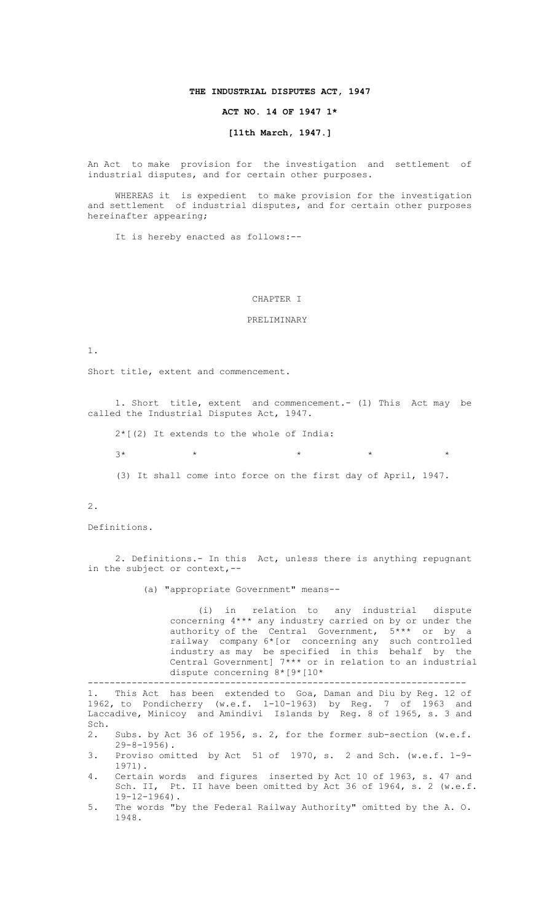## **THE INDUSTRIAL DISPUTES ACT, 1947**

# **ACT NO. 14 OF 1947 1\***

#### **[11th March, 1947.]**

 An Act to make provision for the investigation and settlement of industrial disputes, and for certain other purposes.

 WHEREAS it is expedient to make provision for the investigation and settlement of industrial disputes, and for certain other purposes hereinafter appearing;

It is hereby enacted as follows:--

# CHAPTER I

### PRELIMINARY

1.

Short title, extent and commencement.

 1. Short title, extent and commencement.- (1) This Act may be called the Industrial Disputes Act, 1947.

2\*[(2) It extends to the whole of India:

 $3^*$  \* \* \* \* \* \* \* \*

(3) It shall come into force on the first day of April, 1947.

### 2.

Definitions.

 2. Definitions.- In this Act, unless there is anything repugnant in the subject or context,--

(a) "appropriate Government" means--

 (i) in relation to any industrial dispute concerning 4\*\*\* any industry carried on by or under the authority of the Central Government, 5\*\*\* or by a railway company 6\*[or concerning any such controlled industry as may be specified in this behalf by the Central Government] 7\*\*\* or in relation to an industrial dispute concerning 8\*[9\*[10\*

 --------------------------------------------------------------------- 1. This Act has been extended to Goa, Daman and Diu by Reg. 12 of 1962, to Pondicherry (w.e.f. 1-10-1963) by Reg. 7 of 1963 and Laccadive, Minicoy and Amindivi Islands by Reg. 8 of 1965, s. 3 and Sch.

- 2. Subs. by Act 36 of 1956, s. 2, for the former sub-section (w.e.f.  $29 - 8 - 1956$ .
- 3. Proviso omitted by Act 51 of 1970, s. 2 and Sch. (w.e.f. 1-9- 1971).
- 4. Certain words and figures inserted by Act 10 of 1963, s. 47 and Sch. II, Pt. II have been omitted by Act 36 of 1964, s. 2 (w.e.f. 19-12-1964).<br>5. The words "by
- The words "by the Federal Railway Authority" omitted by the A. O. 1948.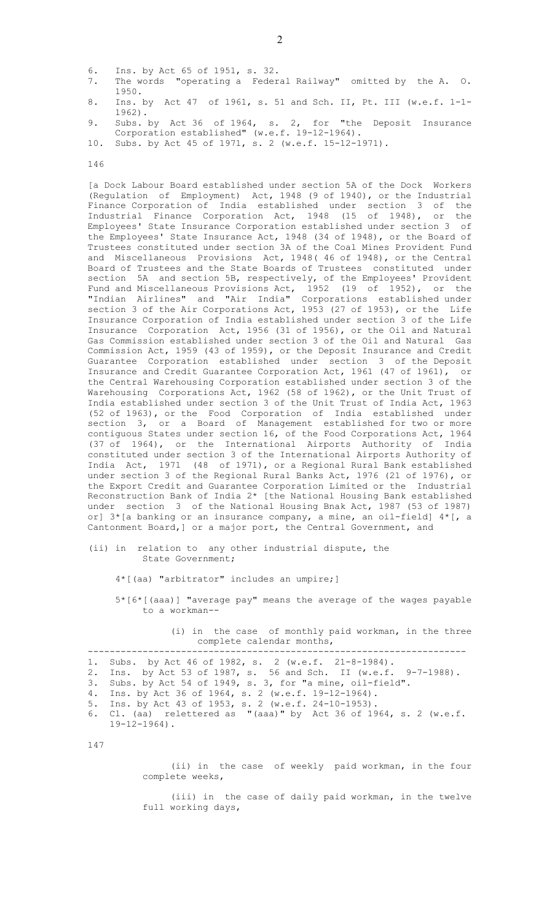6. Ins. by Act 65 of 1951, s. 32.

- 7. The words "operating a Federal Railway" omitted by the A. O. 1950.
- 8. Ins. by Act 47 of 1961, s. 51 and Sch. II, Pt. III (w.e.f. 1-1- 1962).
- 9. Subs. by Act 36 of 1964, s. 2, for "the Deposit Insurance Corporation established" (w.e.f. 19-12-1964).
- 10. Subs. by Act 45 of 1971, s. 2 (w.e.f. 15-12-1971).

146

 [a Dock Labour Board established under section 5A of the Dock Workers (Regulation of Employment) Act, 1948 (9 of 1940), or the Industrial Finance Corporation of India established under section 3 of the Industrial Finance Corporation Act, 1948 (15 of 1948), or the Employees' State Insurance Corporation established under section 3 of the Employees' State Insurance Act, 1948 (34 of 1948), or the Board of Trustees constituted under section 3A of the Coal Mines Provident Fund and Miscellaneous Provisions Act, 1948( 46 of 1948), or the Central Board of Trustees and the State Boards of Trustees constituted under section 5A and section 5B, respectively, of the Employees' Provident Fund and Miscellaneous Provisions Act, 1952 (19 of 1952), or the "Indian Airlines" and "Air India" Corporations established under section 3 of the Air Corporations Act, 1953 (27 of 1953), or the Life Insurance Corporation of India established under section 3 of the Life Insurance Corporation Act, 1956 (31 of 1956), or the Oil and Natural Gas Commission established under section 3 of the Oil and Natural Gas Commission Act, 1959 (43 of 1959), or the Deposit Insurance and Credit Guarantee Corporation established under section 3 of the Deposit Insurance and Credit Guarantee Corporation Act, 1961 (47 of 1961), or the Central Warehousing Corporation established under section 3 of the Warehousing Corporations Act, 1962 (58 of 1962), or the Unit Trust of India established under section 3 of the Unit Trust of India Act, 1963 (52 of 1963), or the Food Corporation of India established under section 3, or a Board of Management established for two or more contiguous States under section 16, of the Food Corporations Act, 1964 (37 of 1964), or the International Airports Authority of India constituted under section 3 of the International Airports Authority of India Act, 1971 (48 of 1971), or a Regional Rural Bank established under section 3 of the Regional Rural Banks Act, 1976 (21 of 1976), or the Export Credit and Guarantee Corporation Limited or the Industrial Reconstruction Bank of India 2\* [the National Housing Bank established under section 3 of the National Housing Bnak Act, 1987 (53 of 1987) or] 3\*[a banking or an insurance company, a mine, an oil-field] 4\*[, a Cantonment Board,] or a major port, the Central Government, and

 (ii) in relation to any other industrial dispute, the State Government;

4\*[(aa) "arbitrator" includes an umpire;]

 5\*[6\*[(aaa)] "average pay" means the average of the wages payable to a workman--

> (i) in the case of monthly paid workman, in the three complete calendar months,

| 1. Subs. by Act 46 of 1982, s. 2 (w.e.f. $21-8-1984$ ).           |
|-------------------------------------------------------------------|
| 2. Ins. by Act 53 of 1987, s. 56 and Sch. II (w.e.f. 9-7-1988).   |
| 3. Subs. by Act 54 of 1949, s. 3, for "a mine, oil-field".        |
| 4. Ins. by Act 36 of 1964, s. 2 (w.e.f. 19-12-1964).              |
| 5. Ins. by Act 43 of 1953, s. 2 (w.e.f. 24-10-1953).              |
| 6. Cl. (aa) relettered as "(aaa)" by Act 36 of 1964, s. 2 (w.e.f. |
| $19 - 12 - 1964$ .                                                |

147

 (ii) in the case of weekly paid workman, in the four complete weeks,

 (iii) in the case of daily paid workman, in the twelve full working days,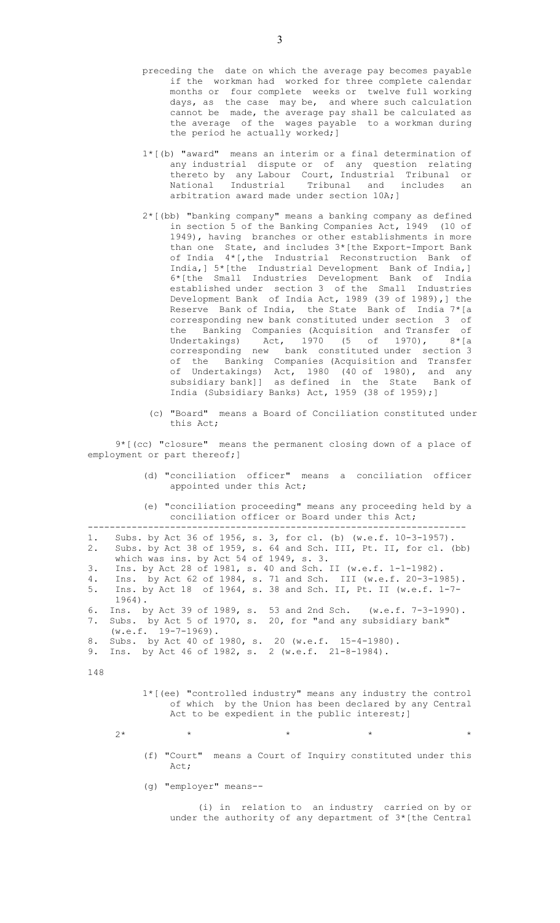- preceding the date on which the average pay becomes payable if the workman had worked for three complete calendar months or four complete weeks or twelve full working days, as the case may be, and where such calculation cannot be made, the average pay shall be calculated as the average of the wages payable to a workman during the period he actually worked; ]
- 1\*[(b) "award" means an interim or a final determination of any industrial dispute or of any question relating thereto by any Labour Court, Industrial Tribunal or National Industrial Tribunal and includes an arbitration award made under section 10A;]
- 2\*[(bb) "banking company" means a banking company as defined in section 5 of the Banking Companies Act, 1949 (10 of 1949), having branches or other establishments in more than one State, and includes 3\*[the Export-Import Bank of India 4\*[,the Industrial Reconstruction Bank of India,] 5\*[the Industrial Development Bank of India,] 6\*[the Small Industries Development Bank of India established under section 3 of the Small Industries Development Bank of India Act, 1989 (39 of 1989),] the Reserve Bank of India, the State Bank of India 7\*[a corresponding new bank constituted under section 3 of the Banking Companies (Acquisition and Transfer of Undertakings) Act, 1970 (5 of 1970), 8\*[a corresponding new bank constituted under section 3 of the Banking Companies (Acquisition and Transfer of Undertakings) Act, 1980 (40 of 1980), and any subsidiary bank]] as defined in the State Bank of India (Subsidiary Banks) Act, 1959 (38 of 1959);]
	- (c) "Board" means a Board of Conciliation constituted under this Act;

 9\*[(cc) "closure" means the permanent closing down of a place of employment or part thereof;]

- (d) "conciliation officer" means a conciliation officer appointed under this Act;
- (e) "conciliation proceeding" means any proceeding held by a conciliation officer or Board under this Act; ---------------------------------------------------------------------

| 1.<br>$2$ . | Subs. by Act 36 of 1956, s. 3, for cl. (b) (w.e.f. 10-3-1957).<br>Subs. by Act 38 of 1959, s. 64 and Sch. III, Pt. II, for cl. (bb)<br>which was ins. by Act 54 of 1949, s. 3. |
|-------------|--------------------------------------------------------------------------------------------------------------------------------------------------------------------------------|
|             |                                                                                                                                                                                |
| 3.          | Ins. by Act 28 of 1981, s. 40 and Sch. II (w.e.f. 1-1-1982).                                                                                                                   |
| 4.          | Ins. by Act 62 of 1984, s. 71 and Sch. III (w.e.f. 20-3-1985).                                                                                                                 |
| 5.          | Ins. by Act 18 of 1964, s. 38 and Sch. II, Pt. II (w.e.f. $1-7-$<br>$1964$ .                                                                                                   |
| 6.          | Ins. by Act 39 of 1989, s. 53 and 2nd Sch. (w.e.f. 7-3-1990).                                                                                                                  |
| 7.          | Subs. by Act 5 of 1970, s. 20, for "and any subsidiary bank"                                                                                                                   |
|             | $(w.e.f. 19-7-1969)$ .                                                                                                                                                         |
| 8.          | Subs. by Act 40 of 1980, s. 20 (w.e.f. 15-4-1980).                                                                                                                             |
|             |                                                                                                                                                                                |
| 9.          | Ins. by Act 46 of 1982, s. 2 (w.e.f. 21-8-1984).                                                                                                                               |
| 148         |                                                                                                                                                                                |
|             | $1*(ee)$ "controlled industry" means any industry the control<br>of which by the Union has been declared by any Central<br>Act to be expedient in the public interest;         |
|             | $2*$<br>$\star$<br>$\star$<br>$\star$<br>$^\star$                                                                                                                              |
|             | (f) "Court" means a Court of Inquiry constituted under this<br>Act;                                                                                                            |
|             | (g) "employer" means--                                                                                                                                                         |

 (i) in relation to an industry carried on by or under the authority of any department of 3\*[the Central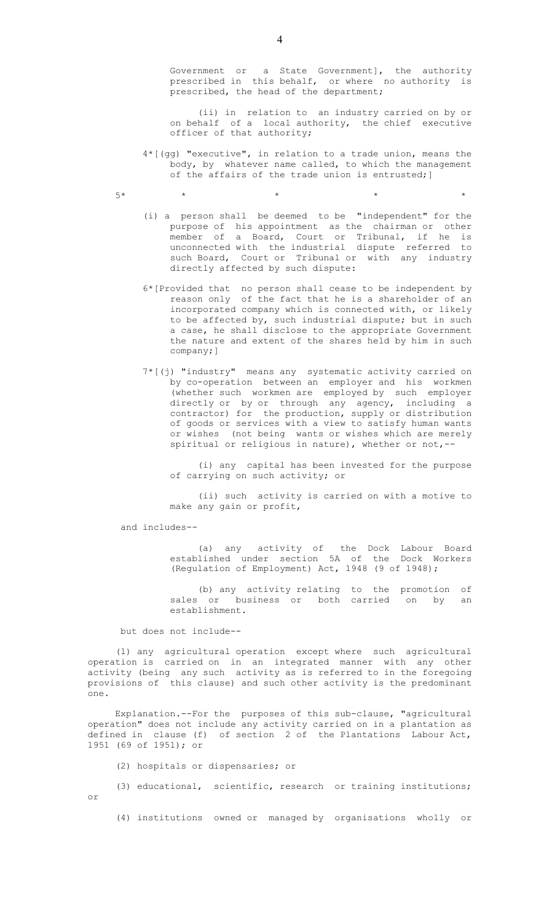Government or a State Government], the authority prescribed in this behalf, or where no authority is prescribed, the head of the department;

 (ii) in relation to an industry carried on by or on behalf of a local authority, the chief executive officer of that authority;

- 4\*[(gg) "executive", in relation to a trade union, means the body, by whatever name called, to which the management of the affairs of the trade union is entrusted;]
- $5^{\star}$  \* \* \* \* \* \* \* \* \*
- (i) a person shall be deemed to be "independent" for the purpose of his appointment as the chairman or other member of a Board, Court or Tribunal, if he is unconnected with the industrial dispute referred to such Board, Court or Tribunal or with any industry directly affected by such dispute:
	- 6\*[Provided that no person shall cease to be independent by reason only of the fact that he is a shareholder of an incorporated company which is connected with, or likely to be affected by, such industrial dispute; but in such a case, he shall disclose to the appropriate Government the nature and extent of the shares held by him in such company;]
- 7\*[(j) "industry" means any systematic activity carried on by co-operation between an employer and his workmen (whether such workmen are employed by such employer directly or by or through any agency, including a contractor) for the production, supply or distribution of goods or services with a view to satisfy human wants or wishes (not being wants or wishes which are merely spiritual or religious in nature), whether or not,--

 (i) any capital has been invested for the purpose of carrying on such activity; or

 (ii) such activity is carried on with a motive to make any gain or profit,

and includes--

 (a) any activity of the Dock Labour Board established under section 5A of the Dock Workers (Regulation of Employment) Act, 1948 (9 of 1948);

 (b) any activity relating to the promotion of sales or business or both carried on by an establishment.

but does not include--

 (1) any agricultural operation except where such agricultural operation is carried on in an integrated manner with any other activity (being any such activity as is referred to in the foregoing provisions of this clause) and such other activity is the predominant one.

 Explanation.--For the purposes of this sub-clause, "agricultural operation" does not include any activity carried on in a plantation as defined in clause (f) of section 2 of the Plantations Labour Act, 1951 (69 of 1951); or

- (2) hospitals or dispensaries; or
- (3) educational, scientific, research or training institutions; or
	- (4) institutions owned or managed by organisations wholly or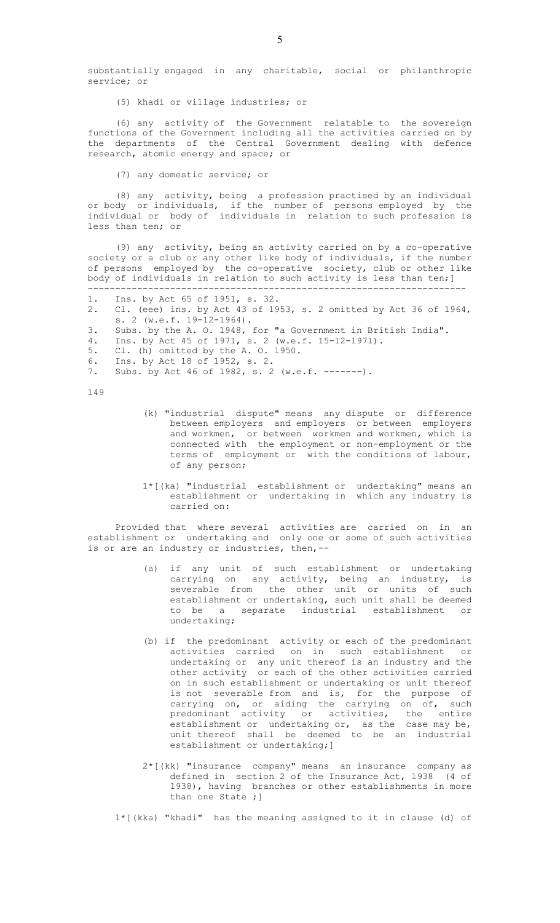substantially engaged in any charitable, social or philanthropic service; or

(5) khadi or village industries; or

 (6) any activity of the Government relatable to the sovereign functions of the Government including all the activities carried on by the departments of the Central Government dealing with defence research, atomic energy and space; or

(7) any domestic service; or

 (8) any activity, being a profession practised by an individual or body or individuals, if the number of persons employed by the individual or body of individuals in relation to such profession is less than ten; or

 (9) any activity, being an activity carried on by a co-operative society or a club or any other like body of individuals, if the number of persons employed by the co-operative society, club or other like body of individuals in relation to such activity is less than ten;]

- --------------------------------------------------------------------- 1. Ins. by Act 65 of 1951, s. 32.
- 2. Cl. (eee) ins. by Act 43 of 1953, s. 2 omitted by Act 36 of 1964, s. 2 (w.e.f. 19-12-1964).<br>3. Subs. by the A. O. 1948.
- 3. Subs. by the A. O. 1948, for "a Government in British India".
- 4. Ins. by Act 45 of 1971, s. 2 (w.e.f. 15-12-1971).
- 5. Cl. (h) omitted by the A. O. 1950.
- 6. Ins. by Act 18 of 1952, s. 2.
- 7. Subs. by Act 46 of 1982, s. 2 (w.e.f. -------).

149

- (k) "industrial dispute" means any dispute or difference between employers and employers or between employers and workmen, or between workmen and workmen, which is connected with the employment or non-employment or the terms of employment or with the conditions of labour, of any person;
- 1\*[(ka) "industrial establishment or undertaking" means an establishment or undertaking in which any industry is carried on:

 Provided that where several activities are carried on in an establishment or undertaking and only one or some of such activities is or are an industry or industries, then,--

- (a) if any unit of such establishment or undertaking carrying on any activity, being an industry, is severable from the other unit or units of such establishment or undertaking, such unit shall be deemed to be a separate industrial establishment or undertaking;
- (b) if the predominant activity or each of the predominant activities carried on in such establishment or undertaking or any unit thereof is an industry and the other activity or each of the other activities carried on in such establishment or undertaking or unit thereof is not severable from and is, for the purpose of carrying on, or aiding the carrying on of, such predominant activity or activities, the entire establishment or undertaking or, as the case may be, unit thereof shall be deemed to be an industrial establishment or undertaking;]
	- 2\*[(kk) "insurance company" means an insurance company as defined in section 2 of the Insurance Act, 1938 (4 of 1938), having branches or other establishments in more than one State ;]

1\*[(kka) "khadi" has the meaning assigned to it in clause (d) of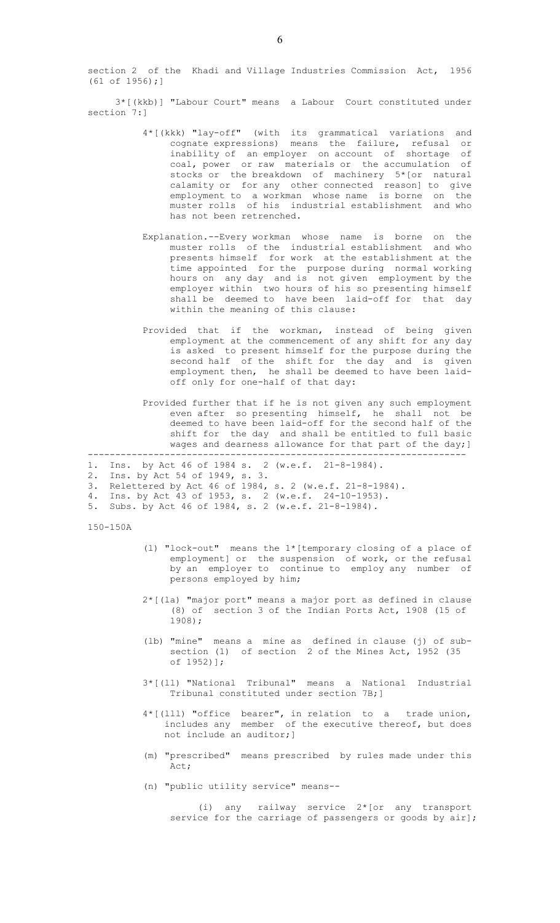section 2 of the Khadi and Village Industries Commission Act, 1956  $(61 of 1956);$ 

 3\*[(kkb)] "Labour Court" means a Labour Court constituted under section 7:]

- 4\*[(kkk) "lay-off" (with its grammatical variations and cognate expressions) means the failure, refusal or inability of an employer on account of shortage of coal, power or raw materials or the accumulation of stocks or the breakdown of machinery 5\*[or natural calamity or for any other connected reason] to give employment to a workman whose name is borne on the muster rolls of his industrial establishment and who has not been retrenched.
- Explanation.--Every workman whose name is borne on the muster rolls of the industrial establishment and who presents himself for work at the establishment at the time appointed for the purpose during normal working hours on any day and is not given employment by the employer within two hours of his so presenting himself shall be deemed to have been laid-off for that day within the meaning of this clause:
- Provided that if the workman, instead of being given employment at the commencement of any shift for any day is asked to present himself for the purpose during the second half of the shift for the day and is given employment then, he shall be deemed to have been laid off only for one-half of that day:
- Provided further that if he is not given any such employment even after so presenting himself, he shall not be deemed to have been laid-off for the second half of the shift for the day and shall be entitled to full basic wages and dearness allowance for that part of the day; ] ---------------------------------------------------------------------

1. Ins. by Act 46 of 1984 s. 2 (w.e.f. 21-8-1984).

2. Ins. by Act 54 of 1949, s. 3.

3. Relettered by Act 46 of 1984, s. 2 (w.e.f. 21-8-1984).

4. Ins. by Act 43 of 1953, s. 2 (w.e.f. 24-10-1953).

5. Subs. by Act 46 of 1984, s. 2 (w.e.f. 21-8-1984).

150-150A

- (l) "lock-out" means the 1\*[temporary closing of a place of employment] or the suspension of work, or the refusal by an employer to continue to employ any number of persons employed by him;
- 2\*[(la) "major port" means a major port as defined in clause (8) of section 3 of the Indian Ports Act, 1908 (15 of 1908);
- (lb) "mine" means a mine as defined in clause (j) of sub section (1) of section 2 of the Mines Act, 1952 (35 of 1952)];
	- 3\*[(ll) "National Tribunal" means a National Industrial Tribunal constituted under section 7B;]
- 4\*[(lll) "office bearer", in relation to a trade union, includes any member of the executive thereof, but does not include an auditor;]
	- (m) "prescribed" means prescribed by rules made under this Act;
	- (n) "public utility service" means--

 (i) any railway service 2\*[or any transport service for the carriage of passengers or goods by air];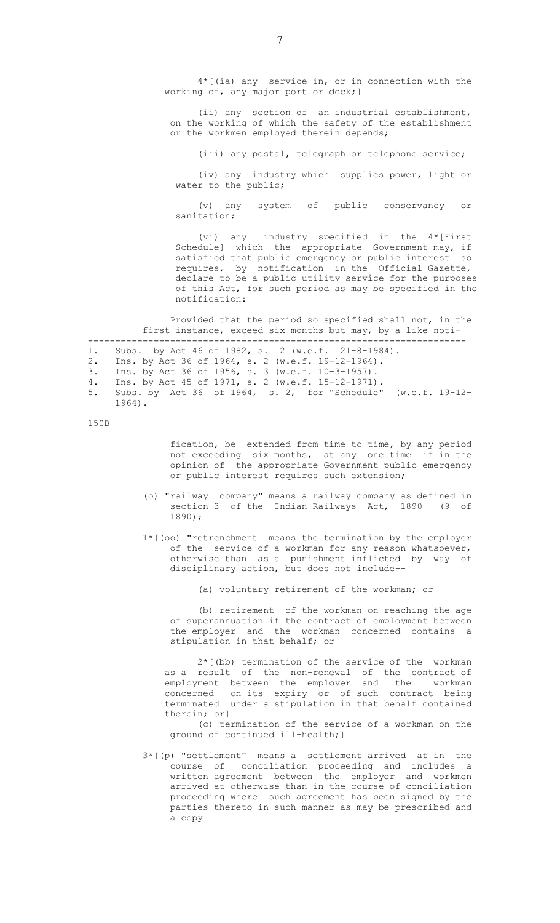4\*[(ia) any service in, or in connection with the working of, any major port or dock;]

 (ii) any section of an industrial establishment, on the working of which the safety of the establishment or the workmen employed therein depends;

(iii) any postal, telegraph or telephone service;

 (iv) any industry which supplies power, light or water to the public;

 (v) any system of public conservancy or sanitation;

 (vi) any industry specified in the 4\*[First Schedule] which the appropriate Government may, if satisfied that public emergency or public interest so requires, by notification in the Official Gazette, declare to be a public utility service for the purposes of this Act, for such period as may be specified in the notification:

 Provided that the period so specified shall not, in the first instance, exceed six months but may, by a like noti- ---------------------------------------------------------------------

| 1. Subs. by Act 46 of 1982, s. 2 (w.e.f. $21-8-1984$ ).         |
|-----------------------------------------------------------------|
| 2. Ins. by Act 36 of 1964, s. 2 (w.e.f. 19-12-1964).            |
| 3. Ins. by Act 36 of 1956, s. 3 (w.e.f. 10-3-1957).             |
| 4. Ins. by Act 45 of 1971, s. 2 (w.e.f. 15-12-1971).            |
| 5. Subs. by Act 36 of 1964, s. 2, for "Schedule" (w.e.f. 19-12- |
| 1964).                                                          |

150B

 fication, be extended from time to time, by any period not exceeding six months, at any one time if in the opinion of the appropriate Government public emergency or public interest requires such extension;

- (o) "railway company" means a railway company as defined in section 3 of the Indian Railways Act, 1890 (9 of 1890);
- 1\*[(oo) "retrenchment means the termination by the employer of the service of a workman for any reason whatsoever, otherwise than as a punishment inflicted by way of disciplinary action, but does not include--

(a) voluntary retirement of the workman; or

 (b) retirement of the workman on reaching the age of superannuation if the contract of employment between the employer and the workman concerned contains a stipulation in that behalf; or

 2\*[(bb) termination of the service of the workman as a result of the non-renewal of the contract of employment between the employer and the workman concerned on its expiry or of such contract being terminated under a stipulation in that behalf contained therein; or]

 (c) termination of the service of a workman on the ground of continued ill-health;]

 3\*[(p) "settlement" means a settlement arrived at in the course of conciliation proceeding and includes a written agreement between the employer and workmen arrived at otherwise than in the course of conciliation proceeding where such agreement has been signed by the parties thereto in such manner as may be prescribed and a copy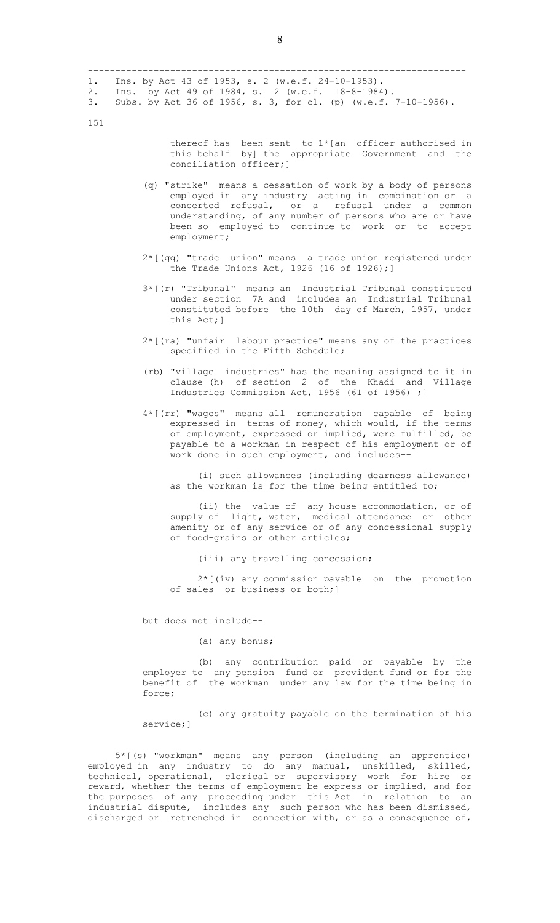| 1. Ins. by Act 43 of 1953, s. 2 (w.e.f. 24-10-1953).              |
|-------------------------------------------------------------------|
| 2. Ins. by Act 49 of 1984, s. 2 (w.e.f. 18-8-1984).               |
| 3. Subs. by Act 36 of 1956, s. 3, for cl. (p) (w.e.f. 7-10-1956). |
|                                                                   |

151

thereof has been sent to  $1*(an)$  officer authorised in this behalf by] the appropriate Government and the conciliation officer;]

- (q) "strike" means a cessation of work by a body of persons employed in any industry acting in combination or a concerted refusal, or a refusal under a common understanding, of any number of persons who are or have been so employed to continue to work or to accept employment;
	- 2\*[(qq) "trade union" means a trade union registered under the Trade Unions Act, 1926 (16 of 1926);]
	- 3\*[(r) "Tribunal" means an Industrial Tribunal constituted under section 7A and includes an Industrial Tribunal constituted before the 10th day of March, 1957, under this Act;]
	- 2\*[(ra) "unfair labour practice" means any of the practices specified in the Fifth Schedule;
- (rb) "village industries" has the meaning assigned to it in clause (h) of section 2 of the Khadi and Village Industries Commission Act, 1956 (61 of 1956) ;]
- 4\*[(rr) "wages" means all remuneration capable of being expressed in terms of money, which would, if the terms of employment, expressed or implied, were fulfilled, be payable to a workman in respect of his employment or of work done in such employment, and includes--

 (i) such allowances (including dearness allowance) as the workman is for the time being entitled to;

 (ii) the value of any house accommodation, or of supply of light, water, medical attendance or other amenity or of any service or of any concessional supply of food-grains or other articles;

(iii) any travelling concession;

 2\*[(iv) any commission payable on the promotion of sales or business or both;]

but does not include--

(a) any bonus;

 (b) any contribution paid or payable by the employer to any pension fund or provident fund or for the benefit of the workman under any law for the time being in force;

> (c) any gratuity payable on the termination of his service;]

 5\*[(s) "workman" means any person (including an apprentice) employed in any industry to do any manual, unskilled, skilled, technical, operational, clerical or supervisory work for hire or reward, whether the terms of employment be express or implied, and for the purposes of any proceeding under this Act in relation to an industrial dispute, includes any such person who has been dismissed, discharged or retrenched in connection with, or as a consequence of,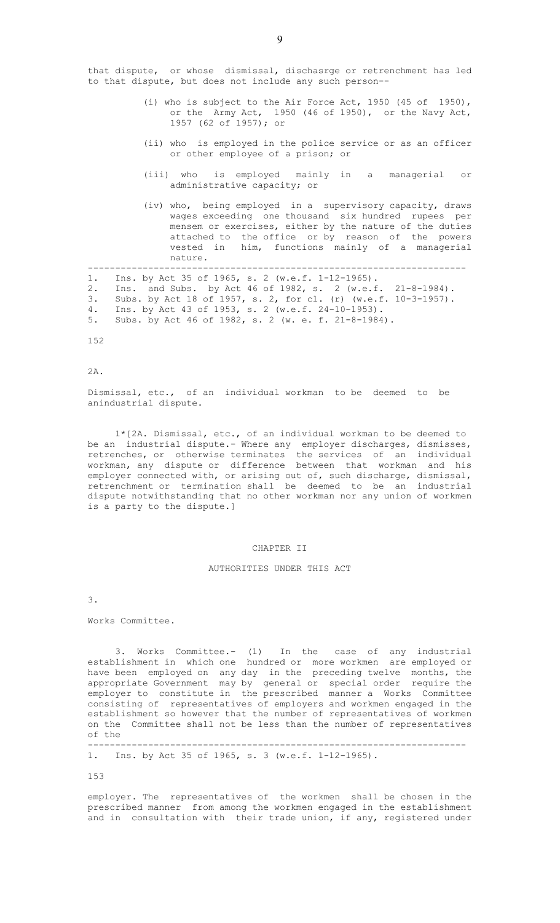that dispute, or whose dismissal, dischasrge or retrenchment has led to that dispute, but does not include any such person--

- (i) who is subject to the Air Force Act, 1950 (45 of 1950), or the Army Act, 1950 (46 of 1950), or the Navy Act, 1957 (62 of 1957); or
	- (ii) who is employed in the police service or as an officer or other employee of a prison; or
	- (iii) who is employed mainly in a managerial or administrative capacity; or
- (iv) who, being employed in a supervisory capacity, draws wages exceeding one thousand six hundred rupees per mensem or exercises, either by the nature of the duties attached to the office or by reason of the powers vested in him, functions mainly of a managerial nature.

 --------------------------------------------------------------------- 1. Ins. by Act 35 of 1965, s. 2 (w.e.f. 1-12-1965).

- 2. Ins. and Subs. by Act 46 of 1982, s. 2 (w.e.f. 21-8-1984).
- 3. Subs. by Act 18 of 1957, s. 2, for cl. (r) (w.e.f. 10-3-1957).
- 4. Ins. by Act 43 of 1953, s. 2 (w.e.f. 24-10-1953).
- 5. Subs. by Act 46 of 1982, s. 2 (w. e. f. 21-8-1984).

152

#### 2A.

 Dismissal, etc., of an individual workman to be deemed to be anindustrial dispute.

 1\*[2A. Dismissal, etc., of an individual workman to be deemed to be an industrial dispute.- Where any employer discharges, dismisses, retrenches, or otherwise terminates the services of an individual workman, any dispute or difference between that workman and his employer connected with, or arising out of, such discharge, dismissal, retrenchment or termination shall be deemed to be an industrial dispute notwithstanding that no other workman nor any union of workmen is a party to the dispute.]

#### CHAPTER II

AUTHORITIES UNDER THIS ACT

3.

Works Committee.

 3. Works Committee.- (1) In the case of any industrial establishment in which one hundred or more workmen are employed or have been employed on any day in the preceding twelve months, the appropriate Government may by general or special order require the employer to constitute in the prescribed manner a Works Committee consisting of representatives of employers and workmen engaged in the establishment so however that the number of representatives of workmen on the Committee shall not be less than the number of representatives of the ---------------------------------------------------------------------

1. Ins. by Act 35 of 1965, s. 3 (w.e.f. 1-12-1965).

153

 employer. The representatives of the workmen shall be chosen in the prescribed manner from among the workmen engaged in the establishment and in consultation with their trade union, if any, registered under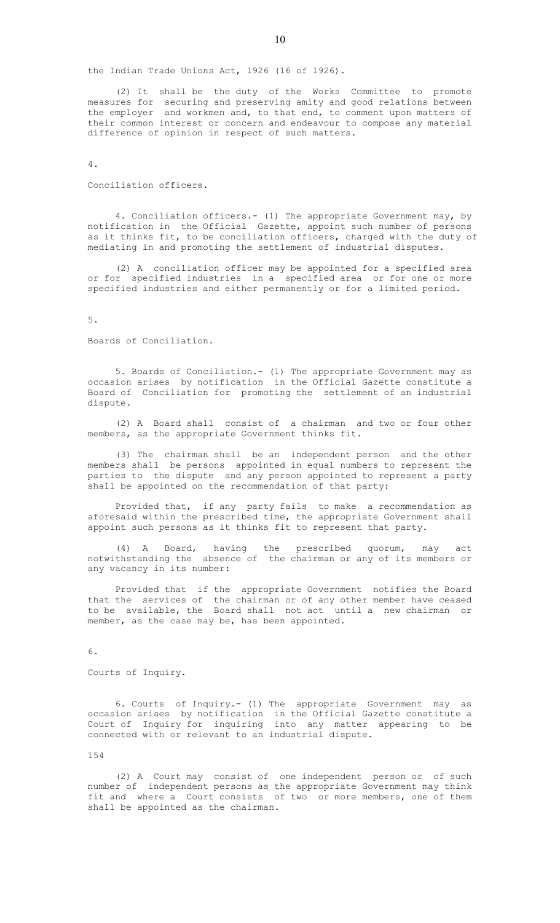the Indian Trade Unions Act, 1926 (16 of 1926).

 (2) It shall be the duty of the Works Committee to promote measures for securing and preserving amity and good relations between the employer and workmen and, to that end, to comment upon matters of their common interest or concern and endeavour to compose any material difference of opinion in respect of such matters.

4.

Conciliation officers.

 4. Conciliation officers.- (1) The appropriate Government may, by notification in the Official Gazette, appoint such number of persons as it thinks fit, to be conciliation officers, charged with the duty of mediating in and promoting the settlement of industrial disputes.

 (2) A conciliation officer may be appointed for a specified area or for specified industries in a specified area or for one or more specified industries and either permanently or for a limited period.

5.

Boards of Conciliation.

 5. Boards of Conciliation.- (1) The appropriate Government may as occasion arises by notification in the Official Gazette constitute a Board of Conciliation for promoting the settlement of an industrial dispute.

 (2) A Board shall consist of a chairman and two or four other members, as the appropriate Government thinks fit.

 (3) The chairman shall be an independent person and the other members shall be persons appointed in equal numbers to represent the parties to the dispute and any person appointed to represent a party shall be appointed on the recommendation of that party:

 Provided that, if any party fails to make a recommendation as aforesaid within the prescribed time, the appropriate Government shall appoint such persons as it thinks fit to represent that party.

 (4) A Board, having the prescribed quorum, may act notwithstanding the absence of the chairman or any of its members or any vacancy in its number:

 Provided that if the appropriate Government notifies the Board that the services of the chairman or of any other member have ceased to be available, the Board shall not act until a new chairman or member, as the case may be, has been appointed.

6.

Courts of Inquiry.

 6. Courts of Inquiry.- (1) The appropriate Government may as occasion arises by notification in the Official Gazette constitute a Court of Inquiry for inquiring into any matter appearing to be connected with or relevant to an industrial dispute.

154

 (2) A Court may consist of one independent person or of such number of independent persons as the appropriate Government may think fit and where a Court consists of two or more members, one of them shall be appointed as the chairman.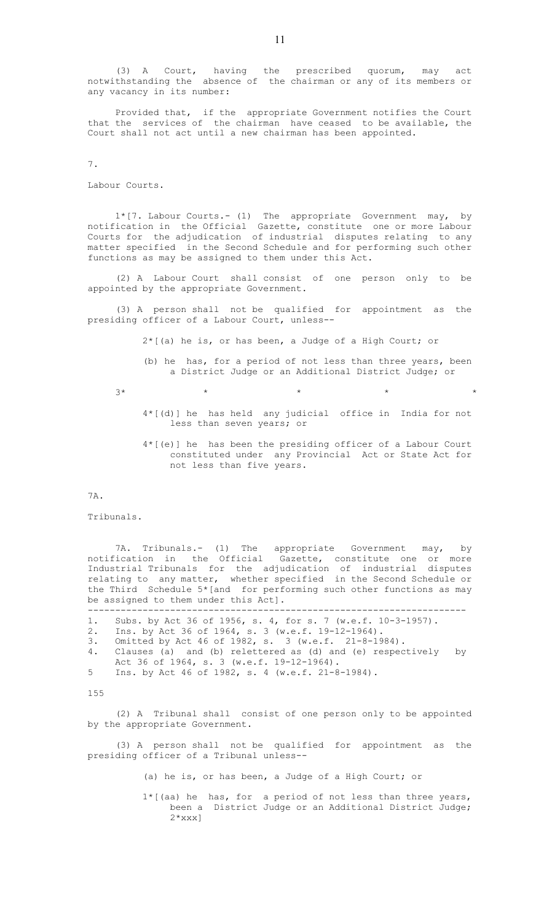(3) A Court, having the prescribed quorum, may act notwithstanding the absence of the chairman or any of its members or any vacancy in its number:

 Provided that, if the appropriate Government notifies the Court that the services of the chairman have ceased to be available, the Court shall not act until a new chairman has been appointed.

7.

Labour Courts.

 1\*[7. Labour Courts.- (1) The appropriate Government may, by notification in the Official Gazette, constitute one or more Labour Courts for the adjudication of industrial disputes relating to any matter specified in the Second Schedule and for performing such other functions as may be assigned to them under this Act.

 (2) A Labour Court shall consist of one person only to be appointed by the appropriate Government.

 (3) A person shall not be qualified for appointment as the presiding officer of a Labour Court, unless--

 $2*(a)$  he is, or has been, a Judge of a High Court; or

 (b) he has, for a period of not less than three years, been a District Judge or an Additional District Judge; or

 $3^{\star}$  \* \* \* \* \* \* \* \* \*

- 4\*[(d)] he has held any judicial office in India for not less than seven years; or
- 4\*[(e)] he has been the presiding officer of a Labour Court constituted under any Provincial Act or State Act for not less than five years.

7A.

Tribunals.

 7A. Tribunals.- (1) The appropriate Government may, by notification in the Official Gazette, constitute one or more Industrial Tribunals for the adjudication of industrial disputes relating to any matter, whether specified in the Second Schedule or the Third Schedule 5\*[and for performing such other functions as may be assigned to them under this Act].

---------------------------------------------------------------------

- 1. Subs. by Act 36 of 1956, s. 4, for s. 7 (w.e.f. 10-3-1957).<br>2. Ins. by Act 36 of 1964, s. 3 (w.e.f. 19-12-1964).
- Ins. by Act 36 of 1964, s. 3 (w.e.f. 19-12-1964).
- 3. Omitted by Act 46 of 1982, s. 3 (w.e.f. 21-8-1984). 4. Clauses (a) and (b) relettered as (d) and (e) respectively by
- Act 36 of 1964, s. 3 (w.e.f. 19-12-1964).

155

 (2) A Tribunal shall consist of one person only to be appointed by the appropriate Government.

 (3) A person shall not be qualified for appointment as the presiding officer of a Tribunal unless--

(a) he is, or has been, a Judge of a High Court; or

 $1*$ [(aa) he has, for a period of not less than three years, been a District Judge or an Additional District Judge;  $2*xxx]$ 

 <sup>5</sup> Ins. by Act 46 of 1982, s. 4 (w.e.f. 21-8-1984).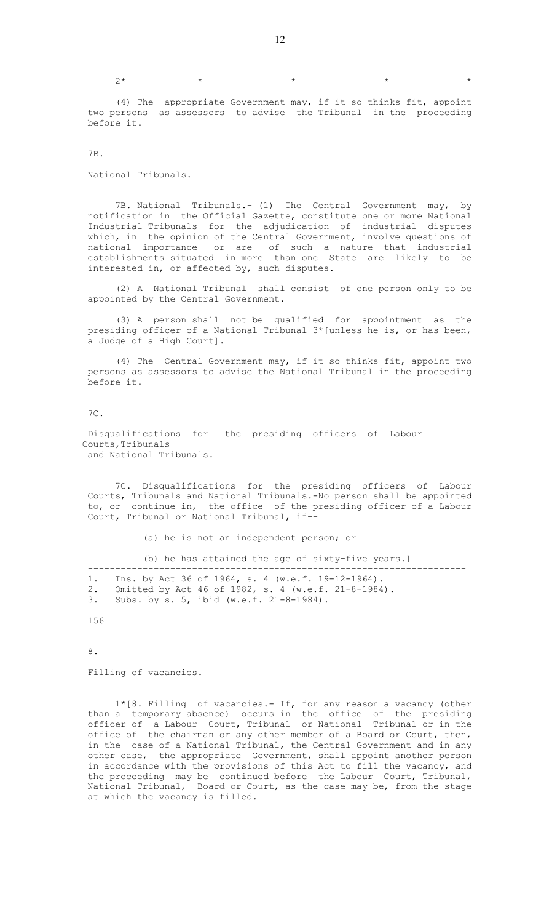$2^{\star}$  \* \* \* \* \* \* \*

 (4) The appropriate Government may, if it so thinks fit, appoint two persons as assessors to advise the Tribunal in the proceeding before it.

7B.

National Tribunals.

 7B. National Tribunals.- (1) The Central Government may, by notification in the Official Gazette, constitute one or more National Industrial Tribunals for the adjudication of industrial disputes which, in the opinion of the Central Government, involve questions of national importance or are of such a nature that industrial establishments situated in more than one State are likely to be interested in, or affected by, such disputes.

 (2) A National Tribunal shall consist of one person only to be appointed by the Central Government.

 (3) A person shall not be qualified for appointment as the presiding officer of a National Tribunal 3\* [unless he is, or has been, a Judge of a High Court].

 (4) The Central Government may, if it so thinks fit, appoint two persons as assessors to advise the National Tribunal in the proceeding .<br>before it.

7C.

 Disqualifications for the presiding officers of Labour Courts,Tribunals and National Tribunals.

 7C. Disqualifications for the presiding officers of Labour Courts, Tribunals and National Tribunals.-No person shall be appointed to, or continue in, the office of the presiding officer of a Labour Court, Tribunal or National Tribunal, if--

(a) he is not an independent person; or

 (b) he has attained the age of sixty-five years.] --------------------------------------------------------------------- 1. Ins. by Act 36 of 1964, s. 4 (w.e.f. 19-12-1964). 2. Omitted by Act 46 of 1982, s. 4 (w.e.f. 21-8-1984). 3. Subs. by s. 5, ibid (w.e.f. 21-8-1984).

156

8.

Filling of vacancies.

 1\*[8. Filling of vacancies.- If, for any reason a vacancy (other than a temporary absence) occurs in the office of the presiding officer of a Labour Court, Tribunal or National Tribunal or in the office of the chairman or any other member of a Board or Court, then, in the case of a National Tribunal, the Central Government and in any other case, the appropriate Government, shall appoint another person in accordance with the provisions of this Act to fill the vacancy, and the proceeding may be continued before the Labour Court, Tribunal, National Tribunal, Board or Court, as the case may be, from the stage at which the vacancy is filled.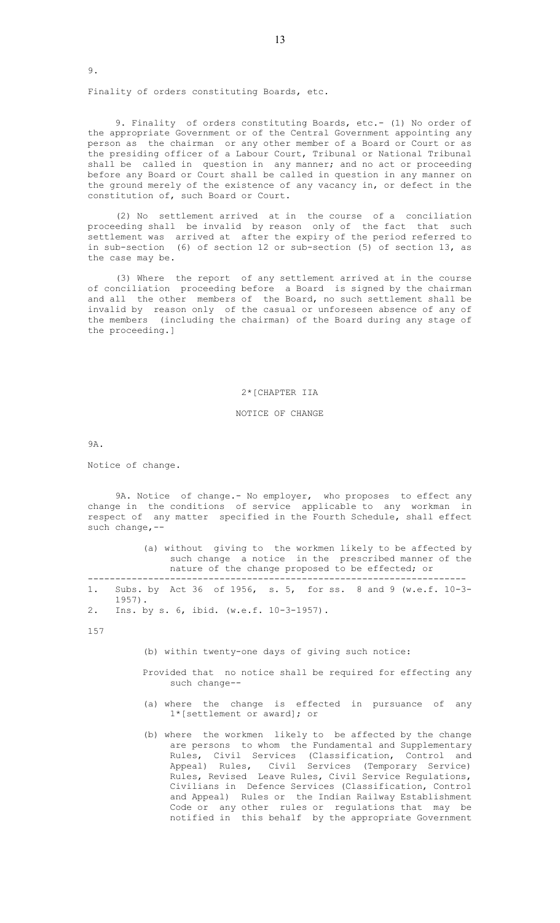9.

Finality of orders constituting Boards, etc.

 9. Finality of orders constituting Boards, etc.- (1) No order of the appropriate Government or of the Central Government appointing any person as the chairman or any other member of a Board or Court or as the presiding officer of a Labour Court, Tribunal or National Tribunal shall be called in question in any manner; and no act or proceeding before any Board or Court shall be called in question in any manner on the ground merely of the existence of any vacancy in, or defect in the constitution of, such Board or Court.

 (2) No settlement arrived at in the course of a conciliation proceeding shall be invalid by reason only of the fact that such settlement was arrived at after the expiry of the period referred to in sub-section (6) of section 12 or sub-section (5) of section 13, as the case may be.

 (3) Where the report of any settlement arrived at in the course of conciliation proceeding before a Board is signed by the chairman and all the other members of the Board, no such settlement shall be invalid by reason only of the casual or unforeseen absence of any of the members (including the chairman) of the Board during any stage of the proceeding.]

#### 2\*[CHAPTER IIA

#### NOTICE OF CHANGE

9A.

Notice of change.

9A. Notice of change.- No employer, who proposes to effect any change in the conditions of service applicable to any workman in respect of any matter specified in the Fourth Schedule, shall effect such change, --

 (a) without giving to the workmen likely to be affected by such change a notice in the prescribed manner of the nature of the change proposed to be effected; or --------------------------------------------------------------------- 1. Subs. by Act 36 of 1956, s. 5, for ss. 8 and 9 (w.e.f. 10-3- 1957). 2. Ins. by s. 6, ibid. (w.e.f. 10-3-1957).

157

(b) within twenty-one days of giving such notice:

- Provided that no notice shall be required for effecting any such change--
- (a) where the change is effected in pursuance of any 1\*[settlement or award]; or
- (b) where the workmen likely to be affected by the change are persons to whom the Fundamental and Supplementary Rules, Civil Services (Classification, Control and Appeal) Rules, Civil Services (Temporary Service) Rules, Revised Leave Rules, Civil Service Regulations, Civilians in Defence Services (Classification, Control and Appeal) Rules or the Indian Railway Establishment Code or any other rules or regulations that may be notified in this behalf by the appropriate Government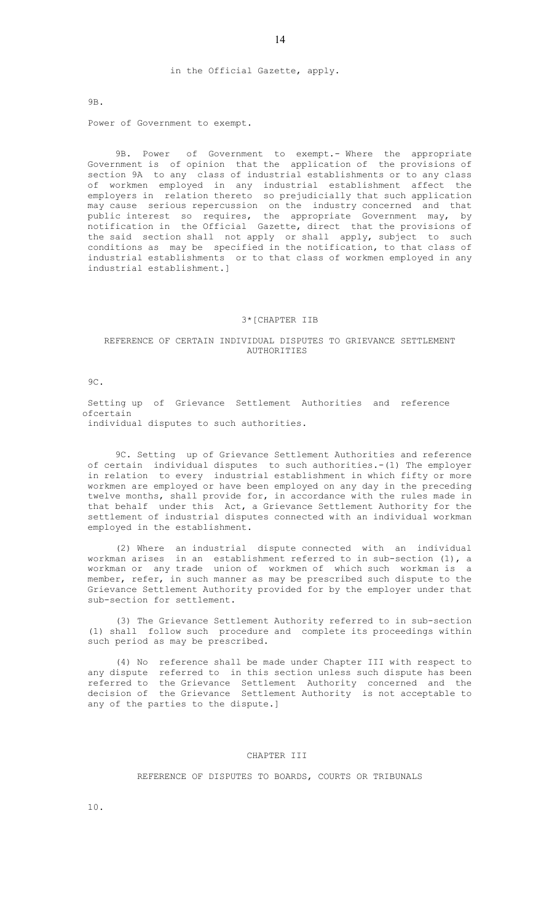#### in the Official Gazette, apply.

9B.

Power of Government to exempt.

 9B. Power of Government to exempt.- Where the appropriate Government is of opinion that the application of the provisions of section 9A to any class of industrial establishments or to any class of workmen employed in any industrial establishment affect the employers in relation thereto so prejudicially that such application may cause serious repercussion on the industry concerned and that public interest so requires, the appropriate Government may, by notification in the Official Gazette, direct that the provisions of the said section shall not apply or shall apply, subject to such conditions as may be specified in the notification, to that class of industrial establishments or to that class of workmen employed in any industrial establishment.]

### 3\*[CHAPTER IIB

# REFERENCE OF CERTAIN INDIVIDUAL DISPUTES TO GRIEVANCE SETTLEMENT AUTHORITIES

9C.

 Setting up of Grievance Settlement Authorities and reference ofcertain individual disputes to such authorities.

 9C. Setting up of Grievance Settlement Authorities and reference of certain individual disputes to such authorities.-(1) The employer in relation to every industrial establishment in which fifty or more workmen are employed or have been employed on any day in the preceding twelve months, shall provide for, in accordance with the rules made in that behalf under this Act, a Grievance Settlement Authority for the settlement of industrial disputes connected with an individual workman employed in the establishment.

 (2) Where an industrial dispute connected with an individual workman arises in an establishment referred to in sub-section (1), a workman or any trade union of workmen of which such workman is a member, refer, in such manner as may be prescribed such dispute to the Grievance Settlement Authority provided for by the employer under that sub-section for settlement.

 (3) The Grievance Settlement Authority referred to in sub-section (1) shall follow such procedure and complete its proceedings within such period as may be prescribed.

 (4) No reference shall be made under Chapter III with respect to any dispute referred to in this section unless such dispute has been referred to the Grievance Settlement Authority concerned and the decision of the Grievance Settlement Authority is not acceptable to any of the parties to the dispute.]

## CHAPTER III

REFERENCE OF DISPUTES TO BOARDS, COURTS OR TRIBUNALS

10.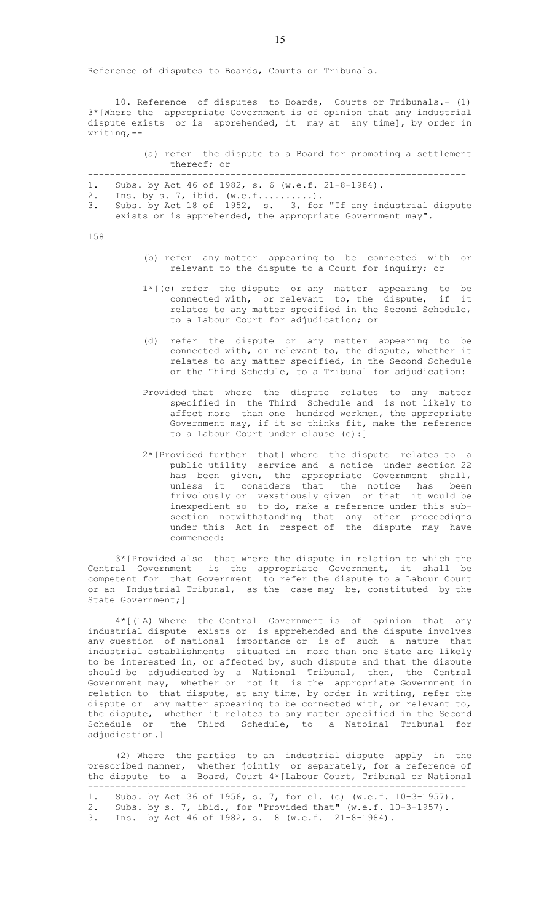Reference of disputes to Boards, Courts or Tribunals.

 10. Reference of disputes to Boards, Courts or Tribunals.- (1) 3\*[Where the appropriate Government is of opinion that any industrial dispute exists or is apprehended, it may at any time], by order in writing,--

- (a) refer the dispute to a Board for promoting a settlement thereof; or<br>-------------------------
- --------------------------------------------------------------------- 1. Subs. by Act 46 of 1982, s. 6 (w.e.f. 21-8-1984).

2. Ins. by s. 7, ibid. (w.e.f..........).

 3. Subs. by Act 18 of 1952, s. 3, for "If any industrial dispute exists or is apprehended, the appropriate Government may".

158

- (b) refer any matter appearing to be connected with or relevant to the dispute to a Court for inquiry; or
- 1\*[(c) refer the dispute or any matter appearing to be connected with, or relevant to, the dispute, if it relates to any matter specified in the Second Schedule, to a Labour Court for adjudication; or
- (d) refer the dispute or any matter appearing to be connected with, or relevant to, the dispute, whether it relates to any matter specified, in the Second Schedule or the Third Schedule, to a Tribunal for adjudication:
- Provided that where the dispute relates to any matter specified in the Third Schedule and is not likely to affect more than one hundred workmen, the appropriate Government may, if it so thinks fit, make the reference to a Labour Court under clause (c):]
- 2\*[Provided further that] where the dispute relates to a public utility service and a notice under section 22 has been given, the appropriate Government shall, unless it considers that the notice has been frivolously or vexatiously given or that it would be inexpedient so to do, make a reference under this sub section notwithstanding that any other proceedigns under this Act in respect of the dispute may have commenced:

 3\*[Provided also that where the dispute in relation to which the Central Government is the appropriate Government, it shall be competent for that Government to refer the dispute to a Labour Court or an Industrial Tribunal, as the case may be, constituted by the State Government;]

 4\*[(1A) Where the Central Government is of opinion that any industrial dispute exists or is apprehended and the dispute involves any question of national importance or is of such a nature that industrial establishments situated in more than one State are likely to be interested in, or affected by, such dispute and that the dispute should be adjudicated by a National Tribunal, then, the Central Government may, whether or not it is the appropriate Government in relation to that dispute, at any time, by order in writing, refer the dispute or any matter appearing to be connected with, or relevant to, the dispute, whether it relates to any matter specified in the Second Schedule or the Third Schedule, to a Natoinal Tribunal for adjudication.]

 (2) Where the parties to an industrial dispute apply in the prescribed manner, whether jointly or separately, for a reference of the dispute to a Board, Court 4\*[Labour Court, Tribunal or National --------------------------------------------------------------------- 1. Subs. by Act 36 of 1956, s. 7, for cl. (c) (w.e.f. 10-3-1957).

 2. Subs. by s. 7, ibid., for "Provided that" (w.e.f. 10-3-1957). 3. Ins. by Act 46 of 1982, s. 8 (w.e.f. 21-8-1984).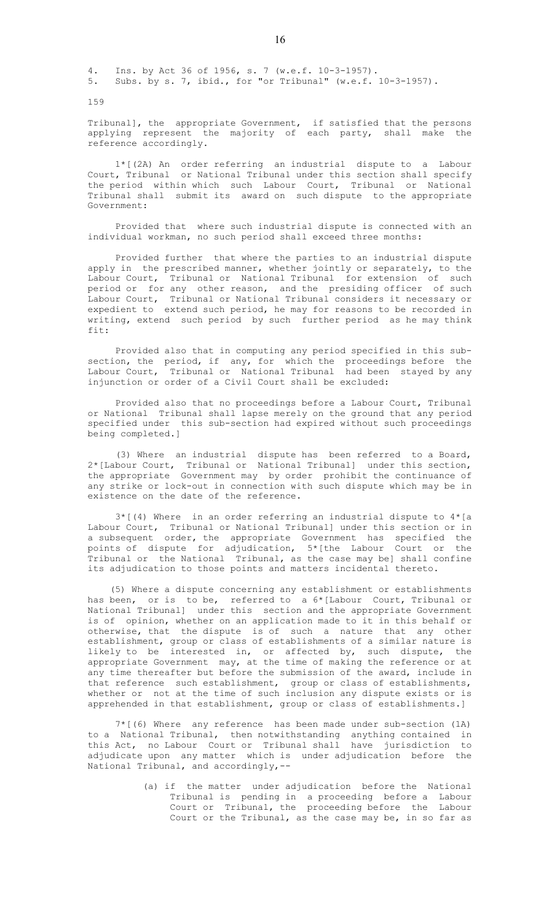4. Ins. by Act 36 of 1956, s. 7 (w.e.f. 10-3-1957). 5. Subs. by s. 7, ibid., for "or Tribunal" (w.e.f. 10-3-1957).

159

 Tribunal], the appropriate Government, if satisfied that the persons applying represent the majority of each party, shall make the reference accordingly.

 1\*[(2A) An order referring an industrial dispute to a Labour Court, Tribunal or National Tribunal under this section shall specify the period within which such Labour Court, Tribunal or National Tribunal shall submit its award on such dispute to the appropriate Government:

 Provided that where such industrial dispute is connected with an individual workman, no such period shall exceed three months:

 Provided further that where the parties to an industrial dispute apply in the prescribed manner, whether jointly or separately, to the Labour Court, Tribunal or National Tribunal for extension of such period or for any other reason, and the presiding officer of such Labour Court, Tribunal or National Tribunal considers it necessary or expedient to extend such period, he may for reasons to be recorded in writing, extend such period by such further period as he may think fit:

 Provided also that in computing any period specified in this sub section, the period, if any, for which the proceedings before the Labour Court, Tribunal or National Tribunal had been stayed by any injunction or order of a Civil Court shall be excluded:

 Provided also that no proceedings before a Labour Court, Tribunal or National Tribunal shall lapse merely on the ground that any period specified under this sub-section had expired without such proceedings being completed.]

 (3) Where an industrial dispute has been referred to a Board, 2\*[Labour Court, Tribunal or National Tribunal] under this section, the appropriate Government may by order prohibit the continuance of any strike or lock-out in connection with such dispute which may be in existence on the date of the reference.

 3\*[(4) Where in an order referring an industrial dispute to 4\*[a Labour Court, Tribunal or National Tribunal] under this section or in a subsequent order, the appropriate Government has specified the points of dispute for adjudication, 5\*[the Labour Court or the Tribunal or the National Tribunal, as the case may be] shall confine its adjudication to those points and matters incidental thereto.

 (5) Where a dispute concerning any establishment or establishments has been, or is to be, referred to a 6\*[Labour Court, Tribunal or National Tribunal] under this section and the appropriate Government is of opinion, whether on an application made to it in this behalf or otherwise, that the dispute is of such a nature that any other establishment, group or class of establishments of a similar nature is likely to be interested in, or affected by, such dispute, the appropriate Government may, at the time of making the reference or at any time thereafter but before the submission of the award, include in that reference such establishment, group or class of establishments, whether or not at the time of such inclusion any dispute exists or is apprehended in that establishment, group or class of establishments.]

 7\*[(6) Where any reference has been made under sub-section (1A) to a National Tribunal, then notwithstanding anything contained in this Act, no Labour Court or Tribunal shall have jurisdiction to adjudicate upon any matter which is under adjudication before the National Tribunal, and accordingly,--

> (a) if the matter under adjudication before the National Tribunal is pending in a proceeding before a Labour Court or Tribunal, the proceeding before the Labour Court or the Tribunal, as the case may be, in so far as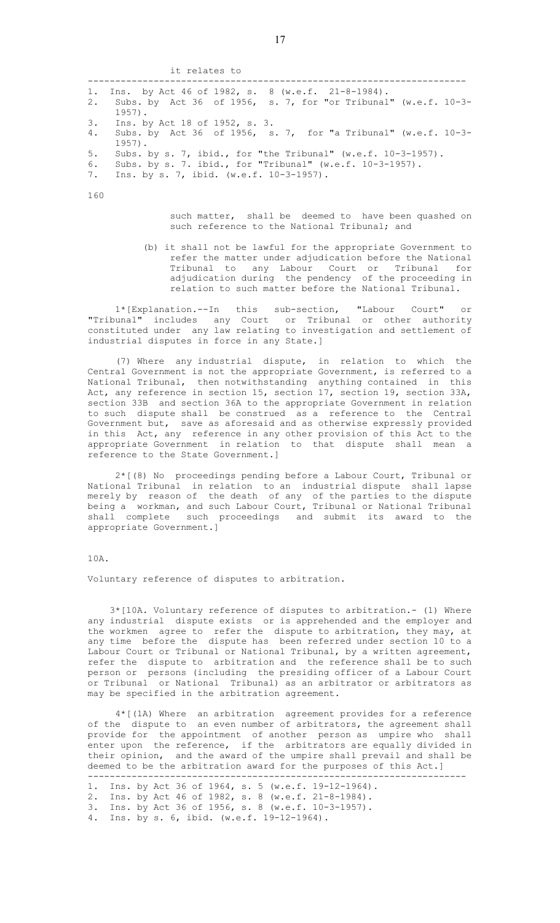it relates to

|    | 1. Ins. by Act 46 of 1982, s. 8 (w.e.f. 21-8-1984).                |  |
|----|--------------------------------------------------------------------|--|
|    | 2. Subs. by Act 36 of 1956, s. 7, for "or Tribunal" (w.e.f. 10-3-  |  |
|    | $1957$ ).                                                          |  |
|    | 3. Ins. by Act 18 of 1952, s. 3.                                   |  |
|    | 4. Subs. by Act 36 of 1956, s. 7, for "a Tribunal" (w.e.f. $10-3-$ |  |
|    | $1957$ .                                                           |  |
| 5. | Subs. by s. 7, ibid., for "the Tribunal" (w.e.f. $10-3-1957$ ).    |  |
| 6. | Subs. by s. 7. ibid., for "Tribunal" (w.e.f. $10-3-1957$ ).        |  |
| 7. | Ins. by s. 7, ibid. (w.e.f. $10-3-1957$ ).                         |  |

160

 such matter, shall be deemed to have been quashed on such reference to the National Tribunal; and

 (b) it shall not be lawful for the appropriate Government to refer the matter under adjudication before the National Tribunal to any Labour Court or Tribunal for adjudication during the pendency of the proceeding in relation to such matter before the National Tribunal.

 1\*[Explanation.--In this sub-section, "Labour Court" or "Tribunal" includes any Court or Tribunal or other authority constituted under any law relating to investigation and settlement of industrial disputes in force in any State.]

 (7) Where any industrial dispute, in relation to which the Central Government is not the appropriate Government, is referred to a National Tribunal, then notwithstanding anything contained in this Act, any reference in section 15, section 17, section 19, section 33A, section 33B and section 36A to the appropriate Government in relation to such dispute shall be construed as a reference to the Central Government but, save as aforesaid and as otherwise expressly provided in this Act, any reference in any other provision of this Act to the appropriate Government in relation to that dispute shall mean a reference to the State Government.]

 2\*[(8) No proceedings pending before a Labour Court, Tribunal or National Tribunal in relation to an industrial dispute shall lapse merely by reason of the death of any of the parties to the dispute being a workman, and such Labour Court, Tribunal or National Tribunal shall complete such proceedings and submit its award to the appropriate Government.]

### $10A$

Voluntary reference of disputes to arbitration.

 3\*[10A. Voluntary reference of disputes to arbitration.- (1) Where any industrial dispute exists or is apprehended and the employer and the workmen agree to refer the dispute to arbitration, they may, at any time before the dispute has been referred under section 10 to a Labour Court or Tribunal or National Tribunal, by a written agreement, refer the dispute to arbitration and the reference shall be to such person or persons (including the presiding officer of a Labour Court or Tribunal or National Tribunal) as an arbitrator or arbitrators as may be specified in the arbitration agreement.

 4\*[(1A) Where an arbitration agreement provides for a reference of the dispute to an even number of arbitrators, the agreement shall provide for the appointment of another person as umpire who shall enter upon the reference, if the arbitrators are equally divided in their opinion, and the award of the umpire shall prevail and shall be deemed to be the arbitration award for the purposes of this Act.] ---------------------------------------------------------------------

 1. Ins. by Act 36 of 1964, s. 5 (w.e.f. 19-12-1964). 2. Ins. by Act 46 of 1982, s. 8 (w.e.f. 21-8-1984). 3. Ins. by Act 36 of 1956, s. 8 (w.e.f. 10-3-1957). 4. Ins. by s. 6, ibid. (w.e.f. 19-12-1964).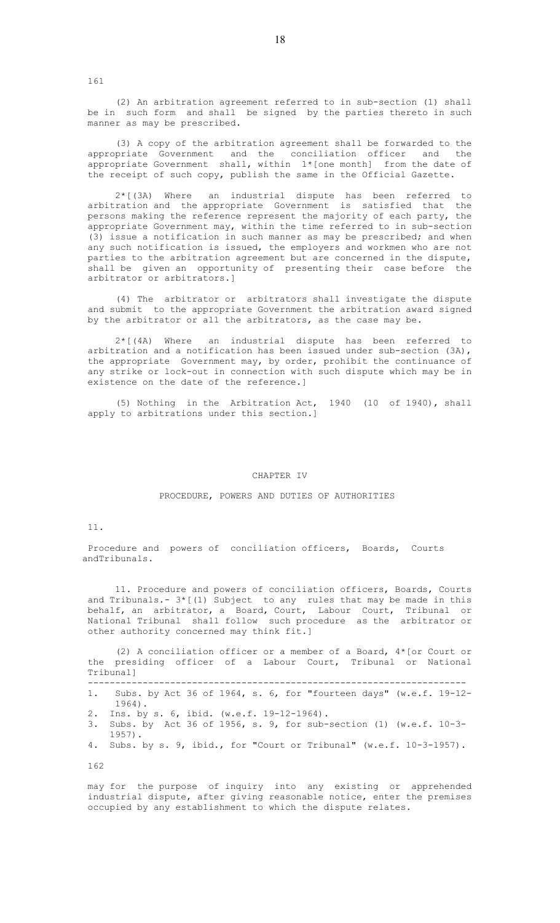(2) An arbitration agreement referred to in sub-section (1) shall be in such form and shall be signed by the parties thereto in such manner as may be prescribed.

 (3) A copy of the arbitration agreement shall be forwarded to the appropriate Government and the conciliation officer and the appropriate Government shall, within 1\*[one month] from the date of the receipt of such copy, publish the same in the Official Gazette.

 2\*[(3A) Where an industrial dispute has been referred to arbitration and the appropriate Government is satisfied that the persons making the reference represent the majority of each party, the appropriate Government may, within the time referred to in sub-section (3) issue a notification in such manner as may be prescribed; and when any such notification is issued, the employers and workmen who are not parties to the arbitration agreement but are concerned in the dispute, shall be given an opportunity of presenting their case before the arbitrator or arbitrators.]

 (4) The arbitrator or arbitrators shall investigate the dispute and submit to the appropriate Government the arbitration award signed by the arbitrator or all the arbitrators, as the case may be.

 2\*[(4A) Where an industrial dispute has been referred to arbitration and a notification has been issued under sub-section (3A), the appropriate Government may, by order, prohibit the continuance of any strike or lock-out in connection with such dispute which may be in existence on the date of the reference.]

 (5) Nothing in the Arbitration Act, 1940 (10 of 1940), shall apply to arbitrations under this section.]

# CHAPTER IV

## PROCEDURE, POWERS AND DUTIES OF AUTHORITIES

11.

161

 Procedure and powers of conciliation officers, Boards, Courts andTribunals.

 11. Procedure and powers of conciliation officers, Boards, Courts and Tribunals.-  $3*[1]$  Subject to any rules that may be made in this behalf, an arbitrator, a Board, Court, Labour Court, Tribunal or National Tribunal shall follow such procedure as the arbitrator or other authority concerned may think fit.]

 (2) A conciliation officer or a member of a Board, 4\*[or Court or the presiding officer of a Labour Court, Tribunal or National Tribunal] ---------------------------------------------------------------------

1. Subs. by Act 36 of 1964, s. 6, for "fourteen days" (w.e.f. 19-12-

 1964). 2. Ins. by s. 6, ibid. (w.e.f. 19-12-1964).

 3. Subs. by Act 36 of 1956, s. 9, for sub-section (1) (w.e.f. 10-3- 1957).

4. Subs. by s. 9, ibid., for "Court or Tribunal" (w.e.f. 10-3-1957).

162

 may for the purpose of inquiry into any existing or apprehended industrial dispute, after giving reasonable notice, enter the premises occupied by any establishment to which the dispute relates.

18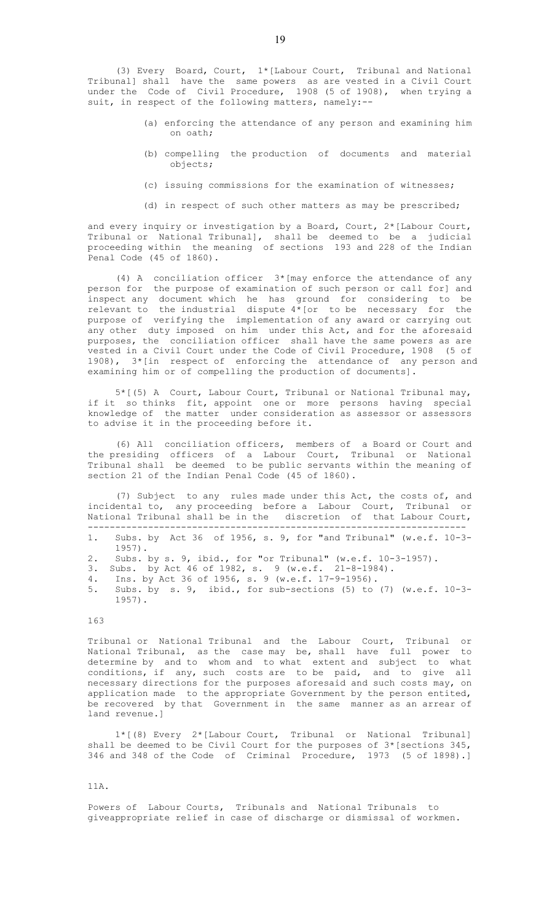(3) Every Board, Court, 1\*[Labour Court, Tribunal and National Tribunal] shall have the same powers as are vested in a Civil Court under the Code of Civil Procedure, 1908 (5 of 1908), when trying a suit, in respect of the following matters, namely:--

- (a) enforcing the attendance of any person and examining him on oath;
- (b) compelling the production of documents and material objects;
- (c) issuing commissions for the examination of witnesses;
- (d) in respect of such other matters as may be prescribed;

 and every inquiry or investigation by a Board, Court, 2\*[Labour Court, Tribunal or National Tribunal], shall be deemed to be a judicial proceeding within the meaning of sections 193 and 228 of the Indian Penal Code (45 of 1860).

 (4) A conciliation officer 3\*[may enforce the attendance of any person for the purpose of examination of such person or call for] and inspect any document which he has ground for considering to be relevant to the industrial dispute 4\*[or to be necessary for the purpose of verifying the implementation of any award or carrying out any other duty imposed on him under this Act, and for the aforesaid purposes, the conciliation officer shall have the same powers as are vested in a Civil Court under the Code of Civil Procedure, 1908 (5 of 1908),  $3*$ [in respect of enforcing the attendance of any person and examining him or of compelling the production of documents].

 5\*[(5) A Court, Labour Court, Tribunal or National Tribunal may, if it so thinks fit, appoint one or more persons having special knowledge of the matter under consideration as assessor or assessors to advise it in the proceeding before it.

 (6) All conciliation officers, members of a Board or Court and the presiding officers of a Labour Court, Tribunal or National Tribunal shall be deemed to be public servants within the meaning of section 21 of the Indian Penal Code (45 of 1860).

 (7) Subject to any rules made under this Act, the costs of, and incidental to, any proceeding before a Labour Court, Tribunal or National Tribunal shall be in the discretion of that Labour Court, ---------------------------------------------------------------------

- 1. Subs. by Act 36 of 1956, s. 9, for "and Tribunal" (w.e.f. 10-3- 1957).<br>2. Subs.
- Subs. by s. 9, ibid., for "or Tribunal" (w.e.f. 10-3-1957).
- 3. Subs. by Act 46 of 1982, s. 9 (w.e.f. 21-8-1984).
- 4. Ins. by Act 36 of 1956, s. 9 (w.e.f. 17-9-1956).
- 5. Subs. by s. 9, ibid., for sub-sections (5) to (7) (w.e.f. 10-3- 1957).

163

 Tribunal or National Tribunal and the Labour Court, Tribunal or National Tribunal, as the case may be, shall have full power to determine by and to whom and to what extent and subject to what conditions, if any, such costs are to be paid, and to give all necessary directions for the purposes aforesaid and such costs may, on application made to the appropriate Government by the person entited, be recovered by that Government in the same manner as an arrear of land revenue.]

 1\*[(8) Every 2\*[Labour Court, Tribunal or National Tribunal] shall be deemed to be Civil Court for the purposes of  $3*($  sections  $345$ , 346 and 348 of the Code of Criminal Procedure, 1973 (5 of 1898).]

11A.

 Powers of Labour Courts, Tribunals and National Tribunals to giveappropriate relief in case of discharge or dismissal of workmen.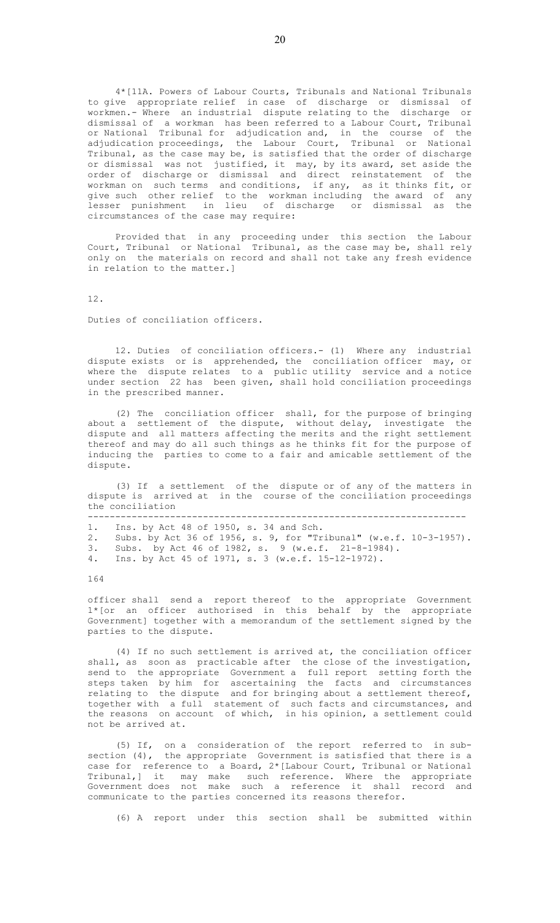4\*[11A. Powers of Labour Courts, Tribunals and National Tribunals to give appropriate relief in case of discharge or dismissal of workmen.- Where an industrial dispute relating to the discharge or dismissal of a workman has been referred to a Labour Court, Tribunal or National Tribunal for adjudication and, in the course of the adjudication proceedings, the Labour Court, Tribunal or National Tribunal, as the case may be, is satisfied that the order of discharge or dismissal was not justified, it may, by its award, set aside the order of discharge or dismissal and direct reinstatement of the workman on such terms and conditions, if any, as it thinks fit, or give such other relief to the workman including the award of any lesser punishment in lieu of discharge or dismissal as the circumstances of the case may require:

 Provided that in any proceeding under this section the Labour Court, Tribunal or National Tribunal, as the case may be, shall rely only on the materials on record and shall not take any fresh evidence in relation to the matter.]

12.

Duties of conciliation officers.

 12. Duties of conciliation officers.- (1) Where any industrial dispute exists or is apprehended, the conciliation officer may, or where the dispute relates to a public utility service and a notice under section 22 has been given, shall hold conciliation proceedings in the prescribed manner.

 (2) The conciliation officer shall, for the purpose of bringing about a settlement of the dispute, without delay, investigate the dispute and all matters affecting the merits and the right settlement thereof and may do all such things as he thinks fit for the purpose of inducing the parties to come to a fair and amicable settlement of the dispute.

 (3) If a settlement of the dispute or of any of the matters in dispute is arrived at in the course of the conciliation proceedings the conciliation

 --------------------------------------------------------------------- 1. Ins. by Act 48 of 1950, s. 34 and Sch. 2. Subs. by Act 36 of 1956, s. 9, for "Tribunal" (w.e.f. 10-3-1957).<br>3. Subs. by Act 46 of 1982, s. 9 (w.e.f. 21-8-1984). Subs. by Act 46 of 1982, s. 9 (w.e.f. 21-8-1984). 4. Ins. by Act 45 of 1971, s. 3 (w.e.f. 15-12-1972).

164

 officer shall send a report thereof to the appropriate Government 1\*[or an officer authorised in this behalf by the appropriate Government] together with a memorandum of the settlement signed by the parties to the dispute.

 (4) If no such settlement is arrived at, the conciliation officer shall, as soon as practicable after the close of the investigation, send to the appropriate Government a full report setting forth the steps taken by him for ascertaining the facts and circumstances relating to the dispute and for bringing about a settlement thereof, together with a full statement of such facts and circumstances, and the reasons on account of which, in his opinion, a settlement could not be arrived at.

 (5) If, on a consideration of the report referred to in sub section (4), the appropriate Government is satisfied that there is a case for reference to a Board, 2\*[Labour Court, Tribunal or National Tribunal,] it may make such reference. Where the appropriate Government does not make such a reference it shall record and communicate to the parties concerned its reasons therefor.

(6) A report under this section shall be submitted within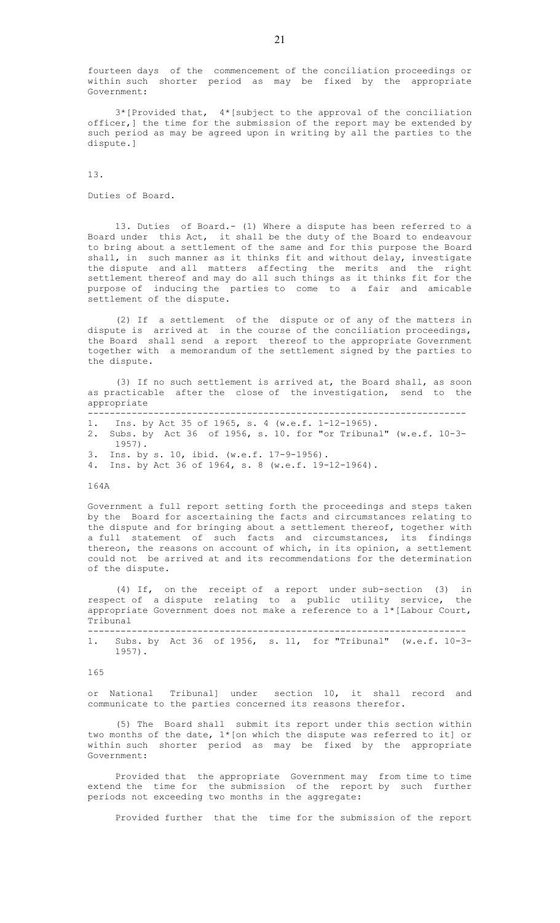fourteen days of the commencement of the conciliation proceedings or within such shorter period as may be fixed by the appropriate Government:

 3\*[Provided that, 4\*[subject to the approval of the conciliation officer,] the time for the submission of the report may be extended by such period as may be agreed upon in writing by all the parties to the dispute.]

### 13.

Duties of Board.

 13. Duties of Board.- (1) Where a dispute has been referred to a Board under this Act, it shall be the duty of the Board to endeavour to bring about a settlement of the same and for this purpose the Board shall, in such manner as it thinks fit and without delay, investigate the dispute and all matters affecting the merits and the right settlement thereof and may do all such things as it thinks fit for the purpose of inducing the parties to come to a fair and amicable settlement of the dispute.

 (2) If a settlement of the dispute or of any of the matters in dispute is arrived at in the course of the conciliation proceedings, the Board shall send a report thereof to the appropriate Government together with a memorandum of the settlement signed by the parties to the dispute.

(3) If no such settlement is arrived at, the Board shall, as soon

 as practicable after the close of the investigation, send to the appropriate --------------------------------------------------------------------- 1. Ins. by Act 35 of 1965, s. 4 (w.e.f. 1-12-1965). 2. Subs. by Act 36 of 1956, s. 10. for "or Tribunal" (w.e.f. 10-3- 1957). 3. Ins. by s. 10, ibid. (w.e.f. 17-9-1956). 4. Ins. by Act 36 of 1964, s. 8 (w.e.f. 19-12-1964).

164A

 Government a full report setting forth the proceedings and steps taken by the Board for ascertaining the facts and circumstances relating to the dispute and for bringing about a settlement thereof, together with a full statement of such facts and circumstances, its findings thereon, the reasons on account of which, in its opinion, a settlement could not be arrived at and its recommendations for the determination of the dispute.

 (4) If, on the receipt of a report under sub-section (3) in respect of a dispute relating to a public utility service, the appropriate Government does not make a reference to a  $1*($  Labour Court, Tribunal ---------------------------------------------------------------------

 1. Subs. by Act 36 of 1956, s. 11, for "Tribunal" (w.e.f. 10-3- 1957).

165

 or National Tribunal] under section 10, it shall record and communicate to the parties concerned its reasons therefor.

 (5) The Board shall submit its report under this section within two months of the date, 1\*[on which the dispute was referred to it] or within such shorter period as may be fixed by the appropriate Government:

 Provided that the appropriate Government may from time to time extend the time for the submission of the report by such further periods not exceeding two months in the aggregate:

Provided further that the time for the submission of the report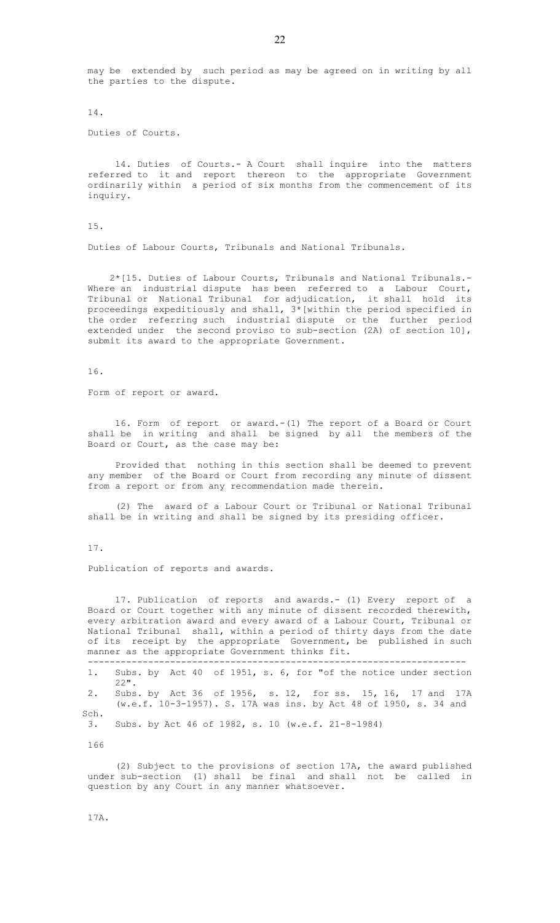may be extended by such period as may be agreed on in writing by all the parties to the dispute.

14.

Duties of Courts.

 14. Duties of Courts.- A Court shall inquire into the matters referred to it and report thereon to the appropriate Government ordinarily within a period of six months from the commencement of its inquiry.

15.

Duties of Labour Courts, Tribunals and National Tribunals.

 2\*[15. Duties of Labour Courts, Tribunals and National Tribunals.- Where an industrial dispute has been referred to a Labour Court, Tribunal or National Tribunal for adjudication, it shall hold its proceedings expeditiously and shall, 3\*[within the period specified in the order referring such industrial dispute or the further period extended under the second proviso to sub-section (2A) of section 10], submit its award to the appropriate Government.

16.

Form of report or award.

 16. Form of report or award.-(1) The report of a Board or Court shall be in writing and shall be signed by all the members of the Board or Court, as the case may be:

 Provided that nothing in this section shall be deemed to prevent any member of the Board or Court from recording any minute of dissent from a report or from any recommendation made therein.

 (2) The award of a Labour Court or Tribunal or National Tribunal shall be in writing and shall be signed by its presiding officer.

17.

Publication of reports and awards.

 17. Publication of reports and awards.- (1) Every report of a Board or Court together with any minute of dissent recorded therewith, every arbitration award and every award of a Labour Court, Tribunal or National Tribunal shall, within a period of thirty days from the date of its receipt by the appropriate Government, be published in such manner as the appropriate Government thinks fit.

---------------------------------------------------------------------

 1. Subs. by Act 40 of 1951, s. 6, for "of the notice under section 22". 2. Subs. by Act 36 of 1956, s. 12, for ss. 15, 16, 17 and 17A (w.e.f. 10-3-1957). S. 17A was ins. by Act 48 of 1950, s. 34 and Sch. 3. Subs. by Act 46 of 1982, s. 10 (w.e.f. 21-8-1984)

166

 (2) Subject to the provisions of section 17A, the award published under sub-section (1) shall be final and shall not be called in question by any Court in any manner whatsoever.

17A.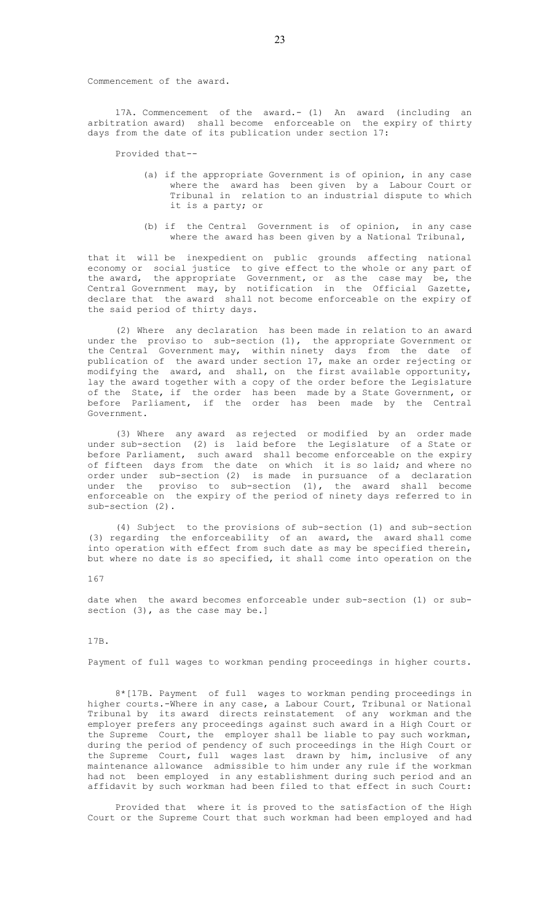17A. Commencement of the award.- (1) An award (including an arbitration award) shall become enforceable on the expiry of thirty days from the date of its publication under section 17:

Provided that--

- (a) if the appropriate Government is of opinion, in any case where the award has been given by a Labour Court or Tribunal in relation to an industrial dispute to which it is a party; or
- (b) if the Central Government is of opinion, in any case where the award has been given by a National Tribunal,

 that it will be inexpedient on public grounds affecting national economy or social justice to give effect to the whole or any part of the award, the appropriate Government, or as the case may be, the Central Government may, by notification in the Official Gazette, declare that the award shall not become enforceable on the expiry of the said period of thirty days.

 (2) Where any declaration has been made in relation to an award under the proviso to sub-section (1), the appropriate Government or the Central Government may, within ninety days from the date of publication of the award under section 17, make an order rejecting or modifying the award, and shall, on the first available opportunity, lay the award together with a copy of the order before the Legislature of the State, if the order has been made by a State Government, or before Parliament, if the order has been made by the Central Government.

 (3) Where any award as rejected or modified by an order made under sub-section (2) is laid before the Legislature of a State or before Parliament, such award shall become enforceable on the expiry of fifteen days from the date on which it is so laid; and where no order under sub-section (2) is made in pursuance of a declaration under the proviso to sub-section (1), the award shall become enforceable on the expiry of the period of ninety days referred to in sub-section (2).

 (4) Subject to the provisions of sub-section (1) and sub-section (3) regarding the enforceability of an award, the award shall come into operation with effect from such date as may be specified therein, but where no date is so specified, it shall come into operation on the

167

 date when the award becomes enforceable under sub-section (1) or sub section (3), as the case may be.]

### 17B.

Payment of full wages to workman pending proceedings in higher courts.

 8\*[17B. Payment of full wages to workman pending proceedings in higher courts.-Where in any case, a Labour Court, Tribunal or National Tribunal by its award directs reinstatement of any workman and the employer prefers any proceedings against such award in a High Court or the Supreme Court, the employer shall be liable to pay such workman, during the period of pendency of such proceedings in the High Court or the Supreme Court, full wages last drawn by him, inclusive of any maintenance allowance admissible to him under any rule if the workman had not been employed in any establishment during such period and an affidavit by such workman had been filed to that effect in such Court:

 Provided that where it is proved to the satisfaction of the High Court or the Supreme Court that such workman had been employed and had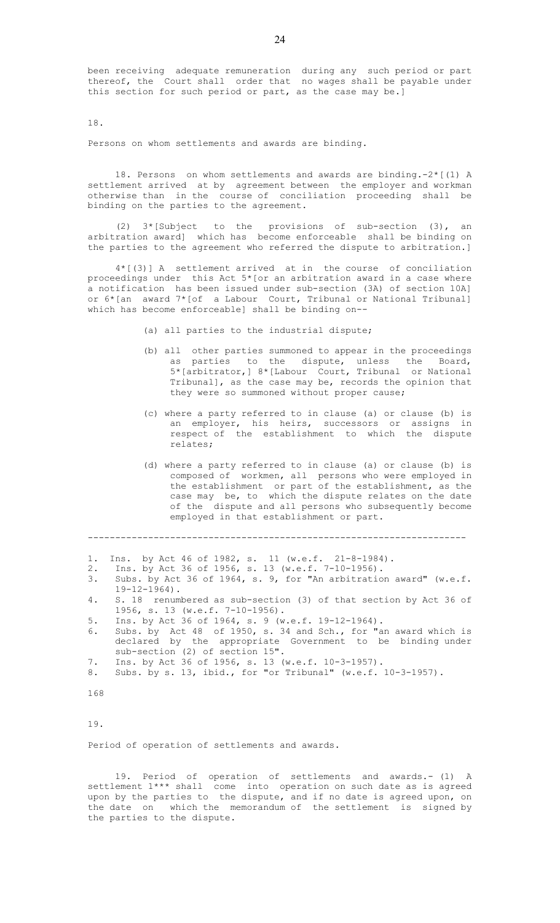been receiving adequate remuneration during any such period or part thereof, the Court shall order that no wages shall be payable under this section for such period or part, as the case may be.]

18.

Persons on whom settlements and awards are binding.

18. Persons on whom settlements and awards are binding. $-2*(1)$  A settlement arrived at by agreement between the employer and workman otherwise than in the course of conciliation proceeding shall be binding on the parties to the agreement.

 (2) 3\*[Subject to the provisions of sub-section (3), an arbitration award] which has become enforceable shall be binding on the parties to the agreement who referred the dispute to arbitration.]

 4\*[(3)] A settlement arrived at in the course of conciliation proceedings under this Act 5\*[or an arbitration award in a case where a notification has been issued under sub-section (3A) of section 10A] or 6\*[an award 7\*[of a Labour Court, Tribunal or National Tribunal] which has become enforceable] shall be binding on--

- (a) all parties to the industrial dispute;
- (b) all other parties summoned to appear in the proceedings as parties to the dispute, unless the Board, 5\*[arbitrator,] 8\*[Labour Court, Tribunal or National Tribunal], as the case may be, records the opinion that they were so summoned without proper cause;
	- (c) where a party referred to in clause (a) or clause (b) is an employer, his heirs, successors or assigns in respect of the establishment to which the dispute relates;
	- (d) where a party referred to in clause (a) or clause (b) is composed of workmen, all persons who were employed in the establishment or part of the establishment, as the case may be, to which the dispute relates on the date of the dispute and all persons who subsequently become employed in that establishment or part.

- 1. Ins. by Act 46 of 1982, s. 11 (w.e.f. 21-8-1984). 2. Ins. by Act 36 of 1956, s. 13 (w.e.f. 7-10-1956).
- 3. Subs. by Act 36 of 1964, s. 9, for "An arbitration award" (w.e.f. 19-12-1964).

---------------------------------------------------------------------

- 4. S. 18 renumbered as sub-section (3) of that section by Act 36 of 1956, s. 13 (w.e.f. 7-10-1956).
- 5. Ins. by Act 36 of 1964, s. 9 (w.e.f. 19-12-1964).
- 6. Subs. by Act 48 of 1950, s. 34 and Sch., for "an award which is declared by the appropriate Government to be binding under sub-section (2) of section 15".
- 7. Ins. by Act 36 of 1956, s. 13 (w.e.f. 10-3-1957).
- 8. Subs. by s. 13, ibid., for "or Tribunal" (w.e.f. 10-3-1957).

168

19.

Period of operation of settlements and awards.

 19. Period of operation of settlements and awards.- (1) A settlement 1\*\*\* shall come into operation on such date as is agreed upon by the parties to the dispute, and if no date is agreed upon, on the date on which the memorandum of the settlement is signed by the parties to the dispute.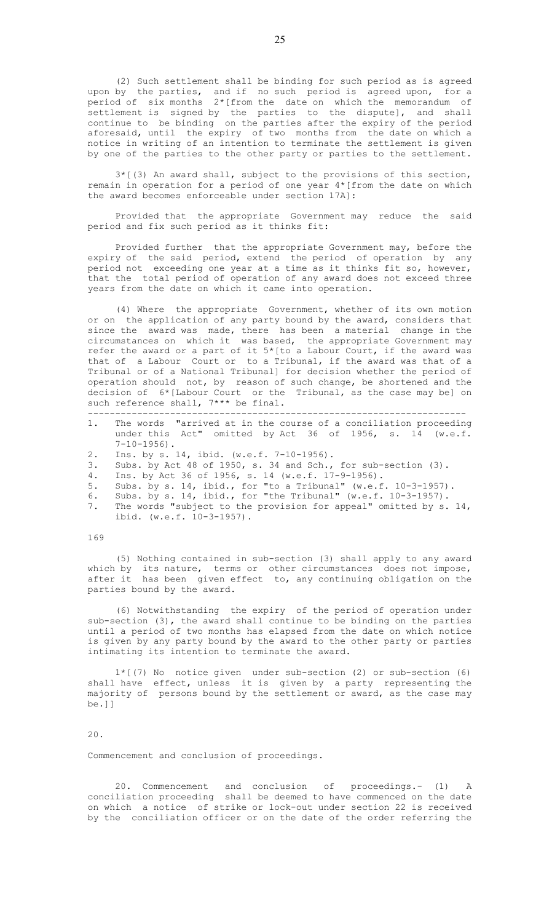(2) Such settlement shall be binding for such period as is agreed upon by the parties, and if no such period is agreed upon, for a period of six months 2\*[from the date on which the memorandum of settlement is signed by the parties to the dispute], and shall continue to be binding on the parties after the expiry of the period aforesaid, until the expiry of two months from the date on which a notice in writing of an intention to terminate the settlement is given by one of the parties to the other party or parties to the settlement.

 3\*[(3) An award shall, subject to the provisions of this section, remain in operation for a period of one year 4\*[from the date on which the award becomes enforceable under section 17A]:

 Provided that the appropriate Government may reduce the said period and fix such period as it thinks fit:

 Provided further that the appropriate Government may, before the expiry of the said period, extend the period of operation by any period not exceeding one year at a time as it thinks fit so, however, that the total period of operation of any award does not exceed three years from the date on which it came into operation.

 (4) Where the appropriate Government, whether of its own motion or on the application of any party bound by the award, considers that since the award was made, there has been a material change in the circumstances on which it was based, the appropriate Government may refer the award or a part of it  $5*(to a$  Labour Court, if the award was that of a Labour Court or to a Tribunal, if the award was that of a Tribunal or of a National Tribunal] for decision whether the period of operation should not, by reason of such change, be shortened and the decision of 6\*[Labour Court or the Tribunal, as the case may be] on such reference shall,  $7***$  be final.

- --------------------------------------------------------------------- 1. The words "arrived at in the course of a conciliation proceeding under this Act" omitted by Act 36 of 1956, s. 14 (w.e.f.  $7-10-1956$ ).
- 2. Ins. by s. 14, ibid. (w.e.f. 7-10-1956).<br>3. Subs. by Act 48 of 1950, s. 34 and Sch.,
- 3. Subs. by Act 48 of 1950, s. 34 and Sch., for sub-section (3).<br>4. Ins. by Act 36 of 1956, s. 14 (w.e.f. 17-9-1956).
- Ins. by Act 36 of 1956, s. 14 (w.e.f. 17-9-1956).
- 5. Subs. by s. 14, ibid., for "to a Tribunal" (w.e.f. 10-3-1957).
- 6. Subs. by s. 14, ibid., for "the Tribunal" (w.e.f. 10-3-1957).
- 7. The words "subject to the provision for appeal" omitted by s. 14, ibid. (w.e.f. 10-3-1957).

169

 (5) Nothing contained in sub-section (3) shall apply to any award which by its nature, terms or other circumstances does not impose, after it has been given effect to, any continuing obligation on the parties bound by the award.

 (6) Notwithstanding the expiry of the period of operation under sub-section (3), the award shall continue to be binding on the parties until a period of two months has elapsed from the date on which notice is given by any party bound by the award to the other party or parties intimating its intention to terminate the award.

 1\*[(7) No notice given under sub-section (2) or sub-section (6) shall have effect, unless it is given by a party representing the majority of persons bound by the settlement or award, as the case may be.]]

20.

Commencement and conclusion of proceedings.

 20. Commencement and conclusion of proceedings.- (1) A conciliation proceeding shall be deemed to have commenced on the date on which a notice of strike or lock-out under section 22 is received by the conciliation officer or on the date of the order referring the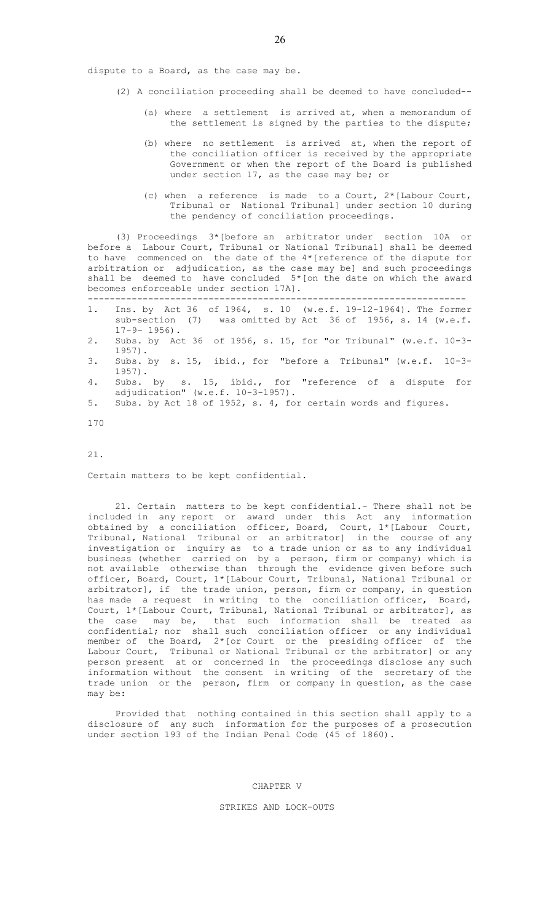dispute to a Board, as the case may be.

- (2) A conciliation proceeding shall be deemed to have concluded--
	- (a) where a settlement is arrived at, when a memorandum of the settlement is signed by the parties to the dispute;
	- (b) where no settlement is arrived at, when the report of the conciliation officer is received by the appropriate Government or when the report of the Board is published under section 17, as the case may be; or
	- (c) when a reference is made to a Court, 2\*[Labour Court, Tribunal or National Tribunal] under section 10 during the pendency of conciliation proceedings.

 (3) Proceedings 3\*[before an arbitrator under section 10A or before a Labour Court, Tribunal or National Tribunal] shall be deemed to have commenced on the date of the 4\*[reference of the dispute for arbitration or adjudication, as the case may be] and such proceedings shall be deemed to have concluded 5\*[on the date on which the award becomes enforceable under section 17A]. ---------------------------------------------------------------------

- 1. Ins. by Act 36 of 1964, s. 10 (w.e.f. 19-12-1964). The former sub-section (7) was omitted by Act 36 of 1956, s. 14 (w.e.f.  $17-9- 1956$ .
- 2. Subs. by Act 36 of 1956, s. 15, for "or Tribunal" (w.e.f. 10-3- 1957).
- 3. Subs. by s. 15, ibid., for "before a Tribunal" (w.e.f. 10-3-  $1957$ .<br>4. Subs.
- 4. Subs. by s. 15, ibid., for "reference of a dispute for adjudication" (w.e.f. 10-3-1957).
- 5. Subs. by Act 18 of 1952, s. 4, for certain words and figures.

170

21.

Certain matters to be kept confidential.

 21. Certain matters to be kept confidential.- There shall not be included in any report or award under this Act any information obtained by a conciliation officer, Board, Court, 1\*[Labour Court, Tribunal, National Tribunal or an arbitrator] in the course of any investigation or inquiry as to a trade union or as to any individual business (whether carried on by a person, firm or company) which is not available otherwise than through the evidence given before such officer, Board, Court, 1\*[Labour Court, Tribunal, National Tribunal or arbitrator], if the trade union, person, firm or company, in question has made a request in writing to the conciliation officer, Board, Court, 1\*[Labour Court, Tribunal, National Tribunal or arbitrator], as the case may be, that such information shall be treated as confidential; nor shall such conciliation officer or any individual member of the Board, 2\*[or Court or the presiding officer of the Labour Court, Tribunal or National Tribunal or the arbitrator] or any person present at or concerned in the proceedings disclose any such information without the consent in writing of the secretary of the trade union or the person, firm or company in question, as the case may be:

 Provided that nothing contained in this section shall apply to a disclosure of any such information for the purposes of a prosecution under section 193 of the Indian Penal Code (45 of 1860).

#### CHAPTER V

STRIKES AND LOCK-OUTS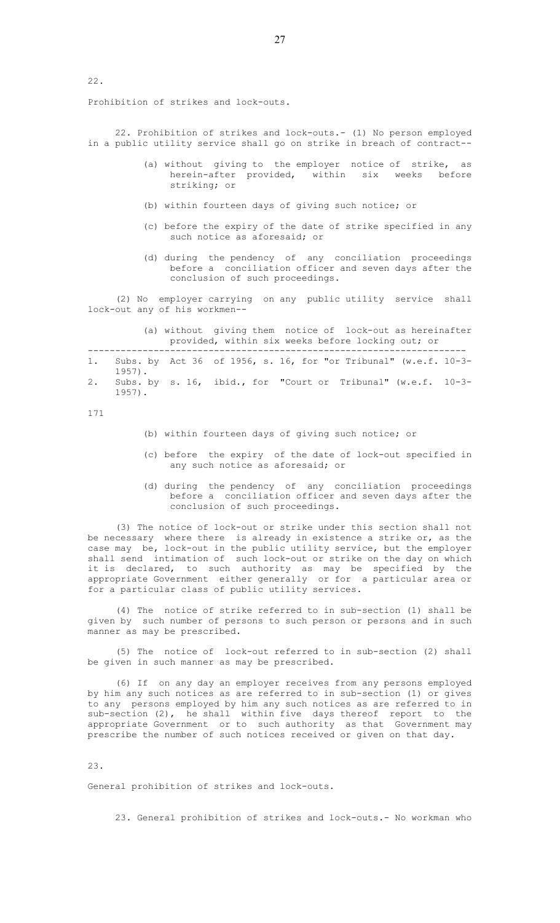22.

Prohibition of strikes and lock-outs.

 22. Prohibition of strikes and lock-outs.- (1) No person employed in a public utility service shall go on strike in breach of contract--

- (a) without giving to the employer notice of strike, as herein-after provided, within six weeks before striking; or
- (b) within fourteen days of giving such notice; or
- (c) before the expiry of the date of strike specified in any such notice as aforesaid; or
- (d) during the pendency of any conciliation proceedings before a conciliation officer and seven days after the conclusion of such proceedings.

 (2) No employer carrying on any public utility service shall lock-out any of his workmen--

> (a) without giving them notice of lock-out as hereinafter provided, within six weeks before locking out; or

 --------------------------------------------------------------------- 1. Subs. by Act 36 of 1956, s. 16, for "or Tribunal" (w.e.f. 10-3-

 $1957$ .<br>2. Subs. 2. Subs. by s. 16, ibid., for "Court or Tribunal" (w.e.f. 10-3- 1957).

171

- (b) within fourteen days of giving such notice; or
- (c) before the expiry of the date of lock-out specified in any such notice as aforesaid; or
- (d) during the pendency of any conciliation proceedings before a conciliation officer and seven days after the conclusion of such proceedings.

 (3) The notice of lock-out or strike under this section shall not be necessary where there is already in existence a strike or, as the case may be, lock-out in the public utility service, but the employer shall send intimation of such lock-out or strike on the day on which it is declared, to such authority as may be specified by the appropriate Government either generally or for a particular area or for a particular class of public utility services.

 (4) The notice of strike referred to in sub-section (1) shall be given by such number of persons to such person or persons and in such manner as may be prescribed.

 (5) The notice of lock-out referred to in sub-section (2) shall be given in such manner as may be prescribed.

 (6) If on any day an employer receives from any persons employed by him any such notices as are referred to in sub-section (1) or gives to any persons employed by him any such notices as are referred to in sub-section (2), he shall within five days thereof report to the appropriate Government or to such authority as that Government may prescribe the number of such notices received or given on that day.

23.

General prohibition of strikes and lock-outs.

23. General prohibition of strikes and lock-outs.- No workman who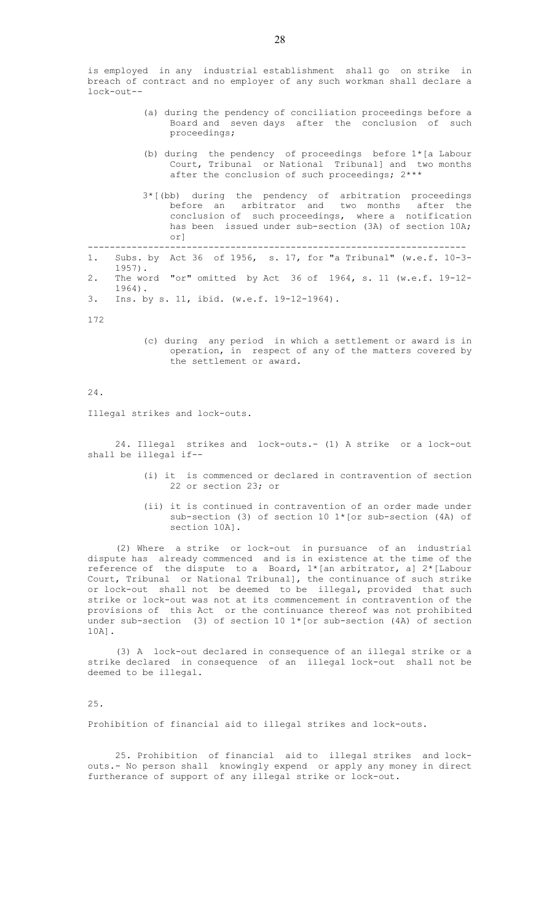is employed in any industrial establishment shall go on strike in breach of contract and no employer of any such workman shall declare a lock-out--

- (a) during the pendency of conciliation proceedings before a Board and seven days after the conclusion of such proceedings;
- (b) during the pendency of proceedings before 1\*[a Labour Court, Tribunal or National Tribunal] and two months after the conclusion of such proceedings;  $2***$
- 3\*[(bb) during the pendency of arbitration proceedings before an arbitrator and two months after the conclusion of such proceedings, where a notification has been issued under sub-section (3A) of section 10A; or] --------------------------------------------------------------------- 1. Subs. by Act 36 of 1956, s. 17, for "a Tribunal" (w.e.f. 10-3- 1957). 2. The word "or" omitted by Act 36 of 1964, s. 11 (w.e.f. 19-12- 1964). 3. Ins. by s. 11, ibid. (w.e.f. 19-12-1964).
- 172
- (c) during any period in which a settlement or award is in operation, in respect of any of the matters covered by the settlement or award.

24.

Illegal strikes and lock-outs.

 24. Illegal strikes and lock-outs.- (1) A strike or a lock-out shall be illegal if--

- (i) it is commenced or declared in contravention of section 22 or section 23; or
- (ii) it is continued in contravention of an order made under sub-section (3) of section 10 1\*[or sub-section (4A) of section 10A].

 (2) Where a strike or lock-out in pursuance of an industrial dispute has already commenced and is in existence at the time of the reference of the dispute to a Board, 1\*[an arbitrator, a] 2\*[Labour Court, Tribunal or National Tribunal], the continuance of such strike or lock-out shall not be deemed to be illegal, provided that such strike or lock-out was not at its commencement in contravention of the provisions of this Act or the continuance thereof was not prohibited under sub-section (3) of section 10 1\*[or sub-section (4A) of section 10A].

 (3) A lock-out declared in consequence of an illegal strike or a strike declared in consequence of an illegal lock-out shall not be deemed to be illegal.

25.

Prohibition of financial aid to illegal strikes and lock-outs.

 25. Prohibition of financial aid to illegal strikes and lock outs.- No person shall knowingly expend or apply any money in direct furtherance of support of any illegal strike or lock-out.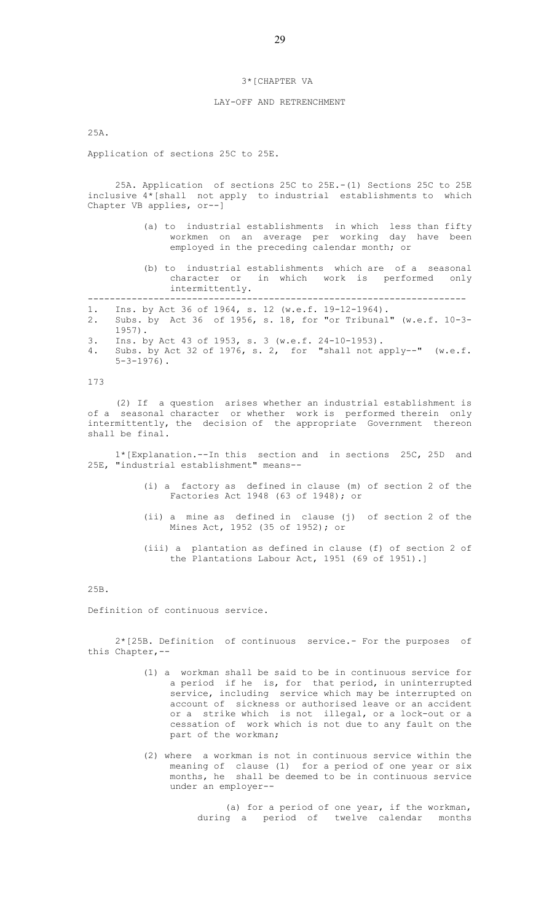### 3\*[CHAPTER VA

#### LAY-OFF AND RETRENCHMENT

25A.

Application of sections 25C to 25E.

 25A. Application of sections 25C to 25E.-(1) Sections 25C to 25E inclusive 4\*[shall not apply to industrial establishments to which Chapter VB applies, or--]

- (a) to industrial establishments in which less than fifty workmen on an average per working day have been employed in the preceding calendar month; or
- (b) to industrial establishments which are of a seasonal character or in which work is performed only intermittently.

---------------------------------------------------------------------

- 1. Ins. by Act 36 of 1964, s. 12 (w.e.f. 19-12-1964). 2. Subs. by Act 36 of 1956, s. 18, for "or Tribunal" (w.e.f. 10-3- 1957).
- 3. Ins. by Act 43 of 1953, s. 3 (w.e.f. 24-10-1953).
- 4. Subs. by Act 32 of 1976, s. 2, for "shall not apply--" (w.e.f.  $5 - 3 - 1976$ .

173

 (2) If a question arises whether an industrial establishment is of a seasonal character or whether work is performed therein only intermittently, the decision of the appropriate Government thereon shall be final.

 1\*[Explanation.--In this section and in sections 25C, 25D and 25E, "industrial establishment" means--

- (i) a factory as defined in clause (m) of section 2 of the Factories Act 1948 (63 of 1948); or
- (ii) a mine as defined in clause (j) of section 2 of the Mines Act, 1952 (35 of 1952); or
- (iii) a plantation as defined in clause (f) of section 2 of the Plantations Labour Act, 1951 (69 of 1951).]

25B.

Definition of continuous service.

 2\*[25B. Definition of continuous service.- For the purposes of this Chapter,--

- (1) a workman shall be said to be in continuous service for a period if he is, for that period, in uninterrupted service, including service which may be interrupted on account of sickness or authorised leave or an accident or a strike which is not illegal, or a lock-out or a cessation of work which is not due to any fault on the part of the workman;
	- (2) where a workman is not in continuous service within the meaning of clause (1) for a period of one year or six months, he shall be deemed to be in continuous service under an employer--

 (a) for a period of one year, if the workman, during a period of twelve calendar months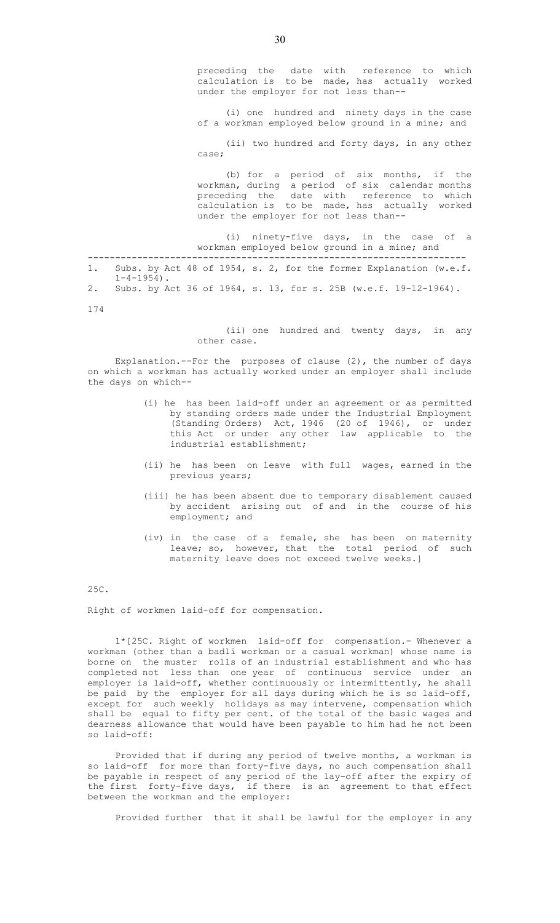preceding the date with reference to which calculation is to be made, has actually worked under the employer for not less than--

> (i) one hundred and ninety days in the case of a workman employed below ground in a mine; and

> (ii) two hundred and forty days, in any other case;

 (b) for a period of six months, if the workman, during a period of six calendar months preceding the date with reference to which calculation is to be made, has actually worked under the employer for not less than--

 (i) ninety-five days, in the case of a workman employed below ground in a mine; and ---------------------------------------------------------------------

 1. Subs. by Act 48 of 1954, s. 2, for the former Explanation (w.e.f.  $1-4-1954$ ).

2. Subs. by Act 36 of 1964, s. 13, for s. 25B (w.e.f. 19-12-1964).

174

 (ii) one hundred and twenty days, in any other case.

 Explanation.--For the purposes of clause (2), the number of days on which a workman has actually worked under an employer shall include the days on which--

- (i) he has been laid-off under an agreement or as permitted by standing orders made under the Industrial Employment (Standing Orders) Act, 1946 (20 of 1946), or under this Act or under any other law applicable to the industrial establishment;
	- (ii) he has been on leave with full wages, earned in the previous years;
	- (iii) he has been absent due to temporary disablement caused by accident arising out of and in the course of his employment; and
- (iv) in the case of a female, she has been on maternity leave; so, however, that the total period of such maternity leave does not exceed twelve weeks.]

25C.

Right of workmen laid-off for compensation.

 1\*[25C. Right of workmen laid-off for compensation.- Whenever a workman (other than a badli workman or a casual workman) whose name is borne on the muster rolls of an industrial establishment and who has completed not less than one year of continuous service under an employer is laid-off, whether continuously or intermittently, he shall be paid by the employer for all days during which he is so laid-off, except for such weekly holidays as may intervene, compensation which shall be equal to fifty per cent. of the total of the basic wages and dearness allowance that would have been payable to him had he not been so laid-off:

 Provided that if during any period of twelve months, a workman is so laid-off for more than forty-five days, no such compensation shall be payable in respect of any period of the lay-off after the expiry of the first forty-five days, if there is an agreement to that effect between the workman and the employer:

Provided further that it shall be lawful for the employer in any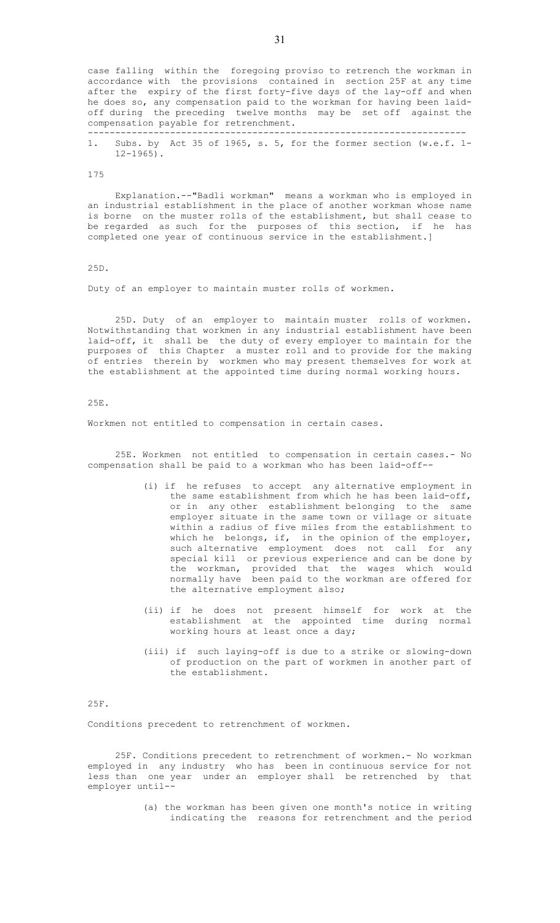case falling within the foregoing proviso to retrench the workman in accordance with the provisions contained in section 25F at any time after the expiry of the first forty-five days of the lay-off and when he does so, any compensation paid to the workman for having been laid off during the preceding twelve months may be set off against the compensation payable for retrenchment. ---------------------------------------------------------------------

 1. Subs. by Act 35 of 1965, s. 5, for the former section (w.e.f. 1-  $12 - 1965$ ).

175

 Explanation.--"Badli workman" means a workman who is employed in an industrial establishment in the place of another workman whose name is borne on the muster rolls of the establishment, but shall cease to be regarded as such for the purposes of this section, if he has completed one year of continuous service in the establishment.]

25D.

Duty of an employer to maintain muster rolls of workmen.

 25D. Duty of an employer to maintain muster rolls of workmen. Notwithstanding that workmen in any industrial establishment have been laid-off, it shall be the duty of every employer to maintain for the purposes of this Chapter a muster roll and to provide for the making of entries therein by workmen who may present themselves for work at the establishment at the appointed time during normal working hours.

25E.

Workmen not entitled to compensation in certain cases.

 25E. Workmen not entitled to compensation in certain cases.- No compensation shall be paid to a workman who has been laid-off--

- (i) if he refuses to accept any alternative employment in the same establishment from which he has been laid-off, or in any other establishment belonging to the same employer situate in the same town or village or situate within a radius of five miles from the establishment to which he belongs, if, in the opinion of the employer, such alternative employment does not call for any special kill or previous experience and can be done by the workman, provided that the wages which would normally have been paid to the workman are offered for the alternative employment also;
- (ii) if he does not present himself for work at the establishment at the appointed time during normal working hours at least once a day;
	- (iii) if such laying-off is due to a strike or slowing-down of production on the part of workmen in another part of the establishment.

25F.

Conditions precedent to retrenchment of workmen.

 25F. Conditions precedent to retrenchment of workmen.- No workman employed in any industry who has been in continuous service for not less than one year under an employer shall be retrenched by that employer until--

> (a) the workman has been given one month's notice in writing indicating the reasons for retrenchment and the period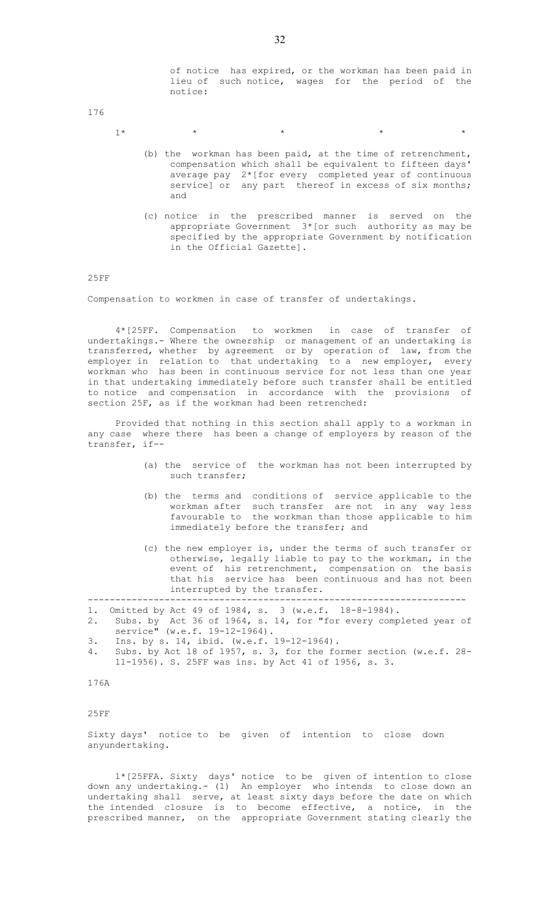of notice has expired, or the workman has been paid in lieu of such notice, wages for the period of the notice:

176

 $1^{\star}$  \* \* \* \* \* \* \* \* \*

- (b) the workman has been paid, at the time of retrenchment, compensation which shall be equivalent to fifteen days' average pay 2\*[for every completed year of continuous service] or any part thereof in excess of six months; and
- (c) notice in the prescribed manner is served on the appropriate Government 3\*[or such authority as may be specified by the appropriate Government by notification in the Official Gazette].

## 25FF

Compensation to workmen in case of transfer of undertakings.

 4\*[25FF. Compensation to workmen in case of transfer of undertakings.- Where the ownership or management of an undertaking is transferred, whether by agreement or by operation of law, from the employer in relation to that undertaking to a new employer, every workman who has been in continuous service for not less than one year in that undertaking immediately before such transfer shall be entitled to notice and compensation in accordance with the provisions of section 25F, as if the workman had been retrenched:

 Provided that nothing in this section shall apply to a workman in any case where there has been a change of employers by reason of the transfer, if--

- (a) the service of the workman has not been interrupted by such transfer;
- (b) the terms and conditions of service applicable to the workman after such transfer are not in any way less favourable to the workman than those applicable to him immediately before the transfer; and
	- (c) the new employer is, under the terms of such transfer or otherwise, legally liable to pay to the workman, in the event of his retrenchment, compensation on the basis that his service has been continuous and has not been interrupted by the transfer.

 --------------------------------------------------------------------- 1. Omitted by Act 49 of 1984, s. 3 (w.e.f. 18-8-1984).

 2. Subs. by Act 36 of 1964, s. 14, for "for every completed year of service" (w.e.f. 19-12-1964).

 4. Subs. by Act 18 of 1957, s. 3, for the former section (w.e.f. 28- 11-1956). S. 25FF was ins. by Act 41 of 1956, s. 3.

176A

25FF

 Sixty days' notice to be given of intention to close down anyundertaking.

 1\*[25FFA. Sixty days' notice to be given of intention to close down any undertaking.- (1) An employer who intends to close down an undertaking shall serve, at least sixty days before the date on which the intended closure is to become effective, a notice, in the prescribed manner, on the appropriate Government stating clearly the

 <sup>3.</sup> Ins. by s. 14, ibid. (w.e.f. 19-12-1964).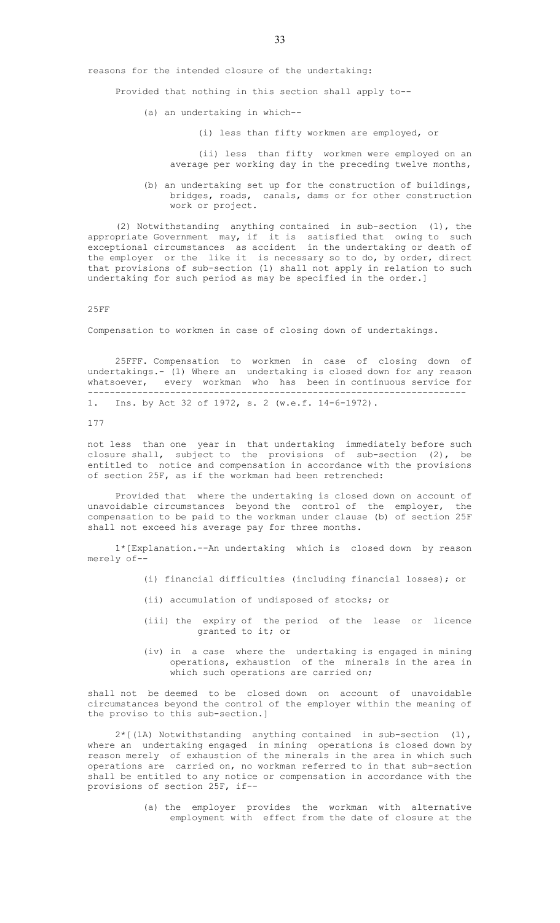Provided that nothing in this section shall apply to--

(a) an undertaking in which--

(i) less than fifty workmen are employed, or

- (ii) less than fifty workmen were employed on an average per working day in the preceding twelve months,
- (b) an undertaking set up for the construction of buildings, bridges, roads, canals, dams or for other construction work or project.

 (2) Notwithstanding anything contained in sub-section (1), the appropriate Government may, if it is satisfied that owing to such exceptional circumstances as accident in the undertaking or death of the employer or the like it is necessary so to do, by order, direct that provisions of sub-section (1) shall not apply in relation to such undertaking for such period as may be specified in the order.]

25FF

Compensation to workmen in case of closing down of undertakings.

 25FFF. Compensation to workmen in case of closing down of undertakings.- (1) Where an undertaking is closed down for any reason whatsoever, every workman who has been in continuous service for ---------------------------------------------------------------------

1. Ins. by Act 32 of 1972, s. 2 (w.e.f. 14-6-1972).

177

 not less than one year in that undertaking immediately before such closure shall, subject to the provisions of sub-section (2), be entitled to notice and compensation in accordance with the provisions of section 25F, as if the workman had been retrenched:

 Provided that where the undertaking is closed down on account of unavoidable circumstances beyond the control of the employer, the compensation to be paid to the workman under clause (b) of section 25F shall not exceed his average pay for three months.

 1\*[Explanation.--An undertaking which is closed down by reason merely of--

- (i) financial difficulties (including financial losses); or
- (ii) accumulation of undisposed of stocks; or
- (iii) the expiry of the period of the lease or licence granted to it; or
- (iv) in a case where the undertaking is engaged in mining operations, exhaustion of the minerals in the area in which such operations are carried on;

 shall not be deemed to be closed down on account of unavoidable circumstances beyond the control of the employer within the meaning of the proviso to this sub-section.]

 $2*(1)$  Notwithstanding anything contained in sub-section (1), where an undertaking engaged in mining operations is closed down by reason merely of exhaustion of the minerals in the area in which such operations are carried on, no workman referred to in that sub-section shall be entitled to any notice or compensation in accordance with the provisions of section 25F, if--

 (a) the employer provides the workman with alternative employment with effect from the date of closure at the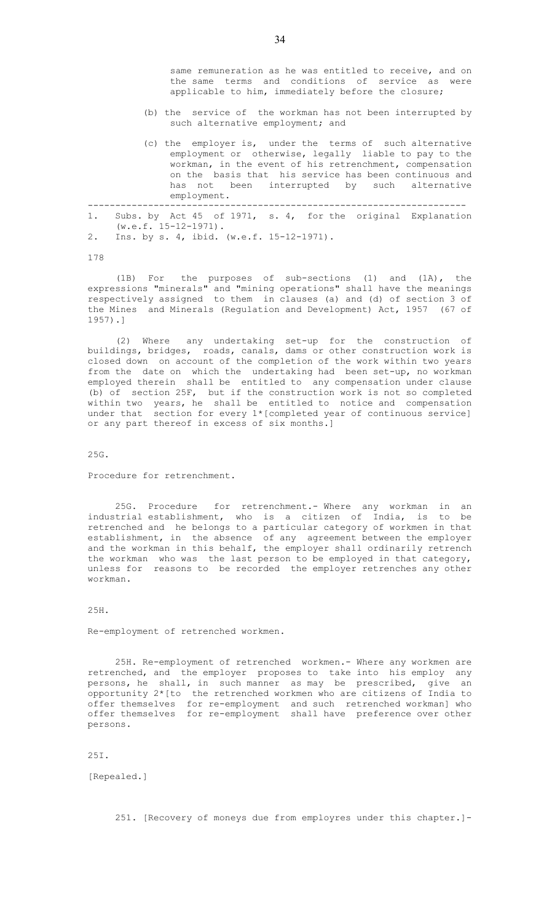same remuneration as he was entitled to receive, and on the same terms and conditions of service as were applicable to him, immediately before the closure;

- (b) the service of the workman has not been interrupted by such alternative employment; and
- (c) the employer is, under the terms of such alternative employment or otherwise, legally liable to pay to the workman, in the event of his retrenchment, compensation on the basis that his service has been continuous and has not been interrupted by such alternative employment.

---------------------------------------------------------------------

 1. Subs. by Act 45 of 1971, s. 4, for the original Explanation (w.e.f. 15-12-1971).

2. Ins. by s. 4, ibid. (w.e.f. 15-12-1971).

178

 (1B) For the purposes of sub-sections (1) and (1A), the expressions "minerals" and "mining operations" shall have the meanings respectively assigned to them in clauses (a) and (d) of section 3 of the Mines and Minerals (Regulation and Development) Act, 1957 (67 of 1957).]

 (2) Where any undertaking set-up for the construction of buildings, bridges, roads, canals, dams or other construction work is closed down on account of the completion of the work within two years from the date on which the undertaking had been set-up, no workman employed therein shall be entitled to any compensation under clause (b) of section 25F, but if the construction work is not so completed within two years, he shall be entitled to notice and compensation under that section for every 1\*[completed year of continuous service] or any part thereof in excess of six months.]

25G.

Procedure for retrenchment.

 25G. Procedure for retrenchment.- Where any workman in an industrial establishment, who is a citizen of India, is to be retrenched and he belongs to a particular category of workmen in that establishment, in the absence of any agreement between the employer and the workman in this behalf, the employer shall ordinarily retrench the workman who was the last person to be employed in that category, unless for reasons to be recorded the employer retrenches any other workman.

25H.

Re-employment of retrenched workmen.

 25H. Re-employment of retrenched workmen.- Where any workmen are retrenched, and the employer proposes to take into his employ any persons, he shall, in such manner as may be prescribed, give an opportunity 2\*[to the retrenched workmen who are citizens of India to offer themselves for re-employment and such retrenched workman] who offer themselves for re-employment shall have preference over other persons.

25I.

[Repealed.]

251. [Recovery of moneys due from employres under this chapter.]-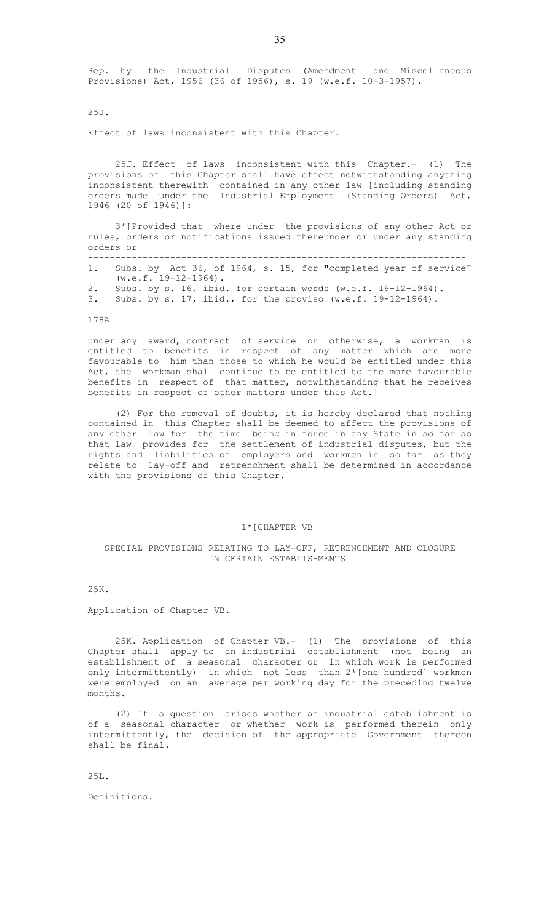Rep. by the Industrial Disputes (Amendment and Miscellaneous Provisions) Act, 1956 (36 of 1956), s. 19 (w.e.f. 10-3-1957).

 $25J$ 

Effect of laws inconsistent with this Chapter.

 25J. Effect of laws inconsistent with this Chapter.- (1) The provisions of this Chapter shall have effect notwithstanding anything inconsistent therewith contained in any other law [including standing orders made under the Industrial Employment (Standing Orders) Act, 1946 (20 of 1946)]:

 3\*[Provided that where under the provisions of any other Act or rules, orders or notifications issued thereunder or under any standing orders or ---------------------------------------------------------------------

 1. Subs. by Act 36, of 1964, s. 15, for "completed year of service" (w.e.f. 19-12-1964). 2. Subs. by s. 16, ibid. for certain words (w.e.f. 19-12-1964).

3. Subs. by s. 17, ibid., for the proviso (w.e.f. 19-12-1964).

#### 178A

 under any award, contract of service or otherwise, a workman is entitled to benefits in respect of any matter which are more favourable to him than those to which he would be entitled under this Act, the workman shall continue to be entitled to the more favourable benefits in respect of that matter, notwithstanding that he receives benefits in respect of other matters under this Act.]

 (2) For the removal of doubts, it is hereby declared that nothing contained in this Chapter shall be deemed to affect the provisions of any other law for the time being in force in any State in so far as that law provides for the settlement of industrial disputes, but the rights and liabilities of employers and workmen in so far as they relate to lay-off and retrenchment shall be determined in accordance with the provisions of this Chapter.]

#### 1\*[CHAPTER VB

## SPECIAL PROVISIONS RELATING TO LAY-OFF, RETRENCHMENT AND CLOSURE IN CERTAIN ESTABLISHMENTS

25K.

Application of Chapter VB.

 25K. Application of Chapter VB.- (1) The provisions of this Chapter shall apply to an industrial establishment (not being an establishment of a seasonal character or in which work is performed only intermittently) in which not less than 2\*[one hundred] workmen were employed on an average per working day for the preceding twelve months.

 (2) If a question arises whether an industrial establishment is of a seasonal character or whether work is performed therein only intermittently, the decision of the appropriate Government thereon shall be final.

25L.

Definitions.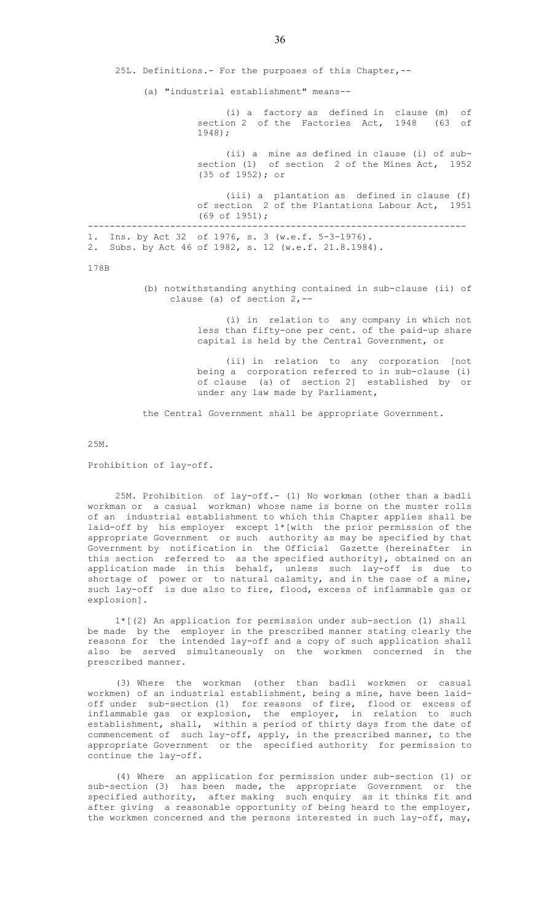25L. Definitions.- For the purposes of this Chapter,--

(a) "industrial establishment" means--

 (i) a factory as defined in clause (m) of section 2 of the Factories Act, 1948 (63 of 1948); (ii) a mine as defined in clause (i) of sub section (1) of section 2 of the Mines Act, 1952 (35 of 1952); or (iii) a plantation as defined in clause (f) of section 2 of the Plantations Labour Act, 1951 (69 of 1951); --------------------------------------------------------------------- 1. Ins. by Act 32 of 1976, s. 3 (w.e.f. 5-3-1976). 2. Subs. by Act 46 of 1982, s. 12 (w.e.f. 21.8.1984).

178B

 (b) notwithstanding anything contained in sub-clause (ii) of clause (a) of section 2,--

> (i) in relation to any company in which not less than fifty-one per cent. of the paid-up share capital is held by the Central Government, or

 (ii) in relation to any corporation [not being a corporation referred to in sub-clause (i) of clause (a) of section 2] established by or under any law made by Parliament,

the Central Government shall be appropriate Government.

25M.

Prohibition of lay-off.

 25M. Prohibition of lay-off.- (1) No workman (other than a badli workman or a casual workman) whose name is borne on the muster rolls of an industrial establishment to which this Chapter applies shall be laid-off by his employer except 1\*[with the prior permission of the appropriate Government or such authority as may be specified by that Government by notification in the Official Gazette (hereinafter in this section referred to as the specified authority), obtained on an application made in this behalf, unless such lay-off is due to shortage of power or to natural calamity, and in the case of a mine, such lay-off is due also to fire, flood, excess of inflammable gas or explosion].

 1\*[(2) An application for permission under sub-section (1) shall be made by the employer in the prescribed manner stating clearly the reasons for the intended lay-off and a copy of such application shall also be served simultaneously on the workmen concerned in the prescribed manner.

 (3) Where the workman (other than badli workmen or casual workmen) of an industrial establishment, being a mine, have been laid off under sub-section (1) for reasons of fire, flood or excess of inflammable gas or explosion, the employer, in relation to such establishment, shall, within a period of thirty days from the date of commencement of such lay-off, apply, in the prescribed manner, to the appropriate Government or the specified authority for permission to continue the lay-off.

 (4) Where an application for permission under sub-section (1) or sub-section (3) has been made, the appropriate Government or the specified authority, after making such enquiry as it thinks fit and after giving a reasonable opportunity of being heard to the employer, the workmen concerned and the persons interested in such lay-off, may,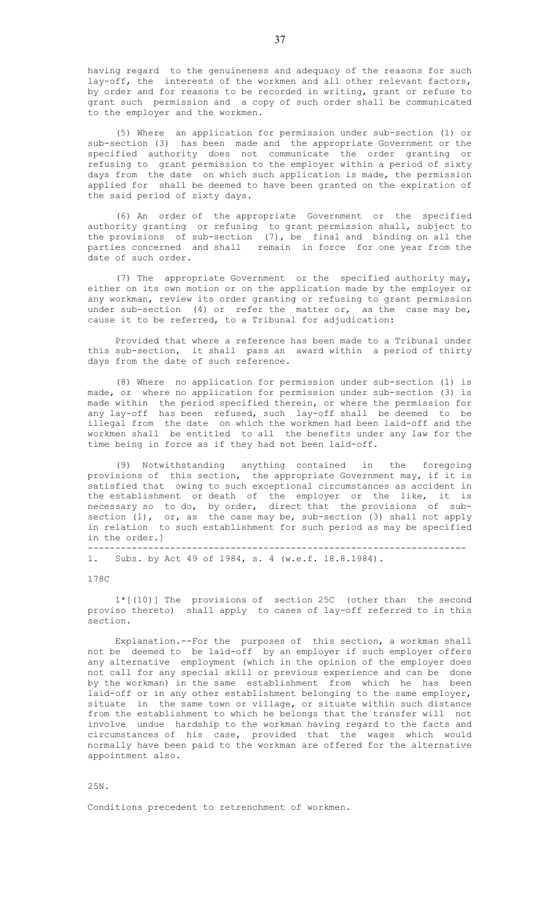having regard to the genuineness and adequacy of the reasons for such lay-off, the interests of the workmen and all other relevant factors, by order and for reasons to be recorded in writing, grant or refuse to grant such permission and a copy of such order shall be communicated to the employer and the workmen.

 (5) Where an application for permission under sub-section (1) or sub-section (3) has been made and the appropriate Government or the specified authority does not communicate the order granting or refusing to grant permission to the employer within a period of sixty days from the date on which such application is made, the permission applied for shall be deemed to have been granted on the expiration of the said period of sixty days.

 (6) An order of the appropriate Government or the specified authority granting or refusing to grant permission shall, subject to the provisions of sub-section (7), be final and binding on all the parties concerned and shall remain in force for one year from the date of such order.

 (7) The appropriate Government or the specified authority may, either on its own motion or on the application made by the employer or any workman, review its order granting or refusing to grant permission under sub-section (4) or refer the matter or, as the case may be, cause it to be referred, to a Tribunal for adjudication:

 Provided that where a reference has been made to a Tribunal under this sub-section, it shall pass an award within a period of thirty days from the date of such reference.

 (8) Where no application for permission under sub-section (1) is made, or where no application for permission under sub-section (3) is made within the period specified therein, or where the permission for any lay-off has been refused, such lay-off shall be deemed to be illegal from the date on which the workmen had been laid-off and the workmen shall be entitled to all the benefits under any law for the time being in force as if they had not been laid-off.

 (9) Notwithstanding anything contained in the foregoing provisions of this section, the appropriate Government may, if it is satisfied that owing to such exceptional circumstances as accident in the establishment or death of the employer or the like, it is necessary so to do, by order, direct that the provisions of sub section  $(1)$ , or, as the case may be, sub-section  $(3)$  shall not apply in relation to such establishment for such period as may be specified in the order.]<br>-----------------

 --------------------------------------------------------------------- 1. Subs. by Act 49 of 1984, s. 4 (w.e.f. 18.8.1984).

178C

 1\*[(10)] The provisions of section 25C (other than the second proviso thereto) shall apply to cases of lay-off referred to in this section.

 Explanation.--For the purposes of this section, a workman shall not be deemed to be laid-off by an employer if such employer offers any alternative employment (which in the opinion of the employer does not call for any special skill or previous experience and can be done by the workman) in the same establishment from which he has been laid-off or in any other establishment belonging to the same employer, situate in the same town or village, or situate within such distance from the establishment to which he belongs that the transfer will not involve undue hardship to the workman having regard to the facts and circumstances of his case, provided that the wages which would normally have been paid to the workman are offered for the alternative appointment also.

25N.

Conditions precedent to retrenchment of workmen.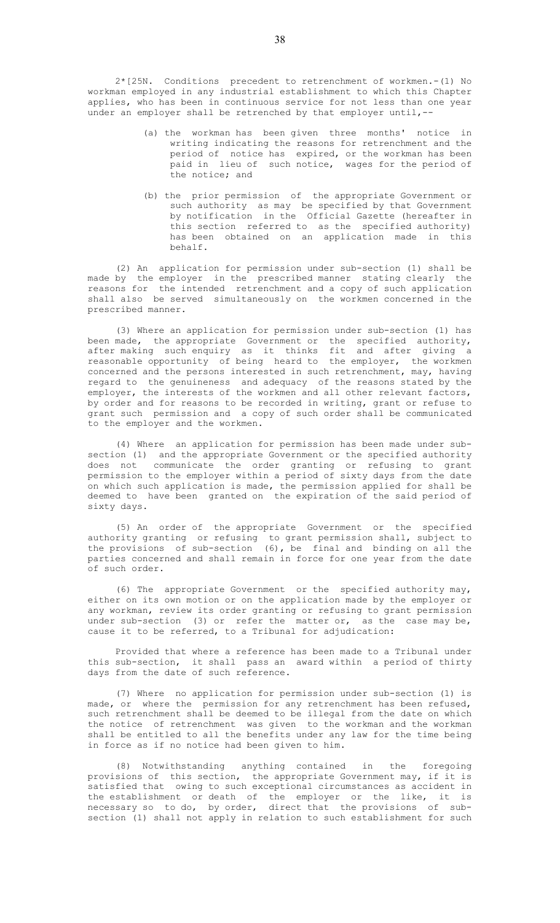2\*[25N. Conditions precedent to retrenchment of workmen.-(1) No workman employed in any industrial establishment to which this Chapter applies, who has been in continuous service for not less than one year under an employer shall be retrenched by that employer until,--

- (a) the workman has been given three months' notice in writing indicating the reasons for retrenchment and the period of notice has expired, or the workman has been paid in lieu of such notice, wages for the period of the notice; and
- (b) the prior permission of the appropriate Government or such authority as may be specified by that Government by notification in the Official Gazette (hereafter in this section referred to as the specified authority) has been obtained on an application made in this behalf.

 (2) An application for permission under sub-section (1) shall be made by the employer in the prescribed manner stating clearly the reasons for the intended retrenchment and a copy of such application shall also be served simultaneously on the workmen concerned in the prescribed manner.

 (3) Where an application for permission under sub-section (1) has been made, the appropriate Government or the specified authority, after making such enquiry as it thinks fit and after giving a reasonable opportunity of being heard to the employer, the workmen concerned and the persons interested in such retrenchment, may, having regard to the genuineness and adequacy of the reasons stated by the employer, the interests of the workmen and all other relevant factors, by order and for reasons to be recorded in writing, grant or refuse to grant such permission and a copy of such order shall be communicated to the employer and the workmen.

 (4) Where an application for permission has been made under sub section (1) and the appropriate Government or the specified authority does not communicate the order granting or refusing to grant permission to the employer within a period of sixty days from the date on which such application is made, the permission applied for shall be deemed to have been granted on the expiration of the said period of sixty days.

 (5) An order of the appropriate Government or the specified authority granting or refusing to grant permission shall, subject to the provisions of sub-section (6), be final and binding on all the parties concerned and shall remain in force for one year from the date of such order.

 (6) The appropriate Government or the specified authority may, either on its own motion or on the application made by the employer or any workman, review its order granting or refusing to grant permission under sub-section (3) or refer the matter or, as the case may be, cause it to be referred, to a Tribunal for adjudication:

 Provided that where a reference has been made to a Tribunal under this sub-section, it shall pass an award within a period of thirty days from the date of such reference.

 (7) Where no application for permission under sub-section (1) is made, or where the permission for any retrenchment has been refused, such retrenchment shall be deemed to be illegal from the date on which the notice of retrenchment was given to the workman and the workman shall be entitled to all the benefits under any law for the time being in force as if no notice had been given to him.

 (8) Notwithstanding anything contained in the foregoing provisions of this section, the appropriate Government may, if it is satisfied that owing to such exceptional circumstances as accident in the establishment or death of the employer or the like, it is necessary so to do, by order, direct that the provisions of sub section (1) shall not apply in relation to such establishment for such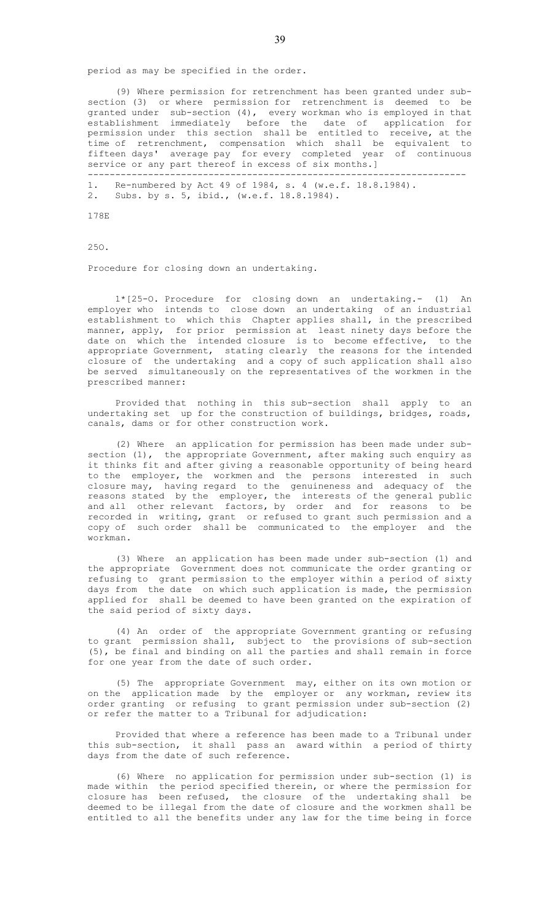period as may be specified in the order.

 (9) Where permission for retrenchment has been granted under sub section (3) or where permission for retrenchment is deemed to be granted under sub-section (4), every workman who is employed in that<br>establishment immediately before the date of application for establishment immediately before the date of application for permission under this section shall be entitled to receive, at the time of retrenchment, compensation which shall be equivalent to fifteen days' average pay for every completed year of continuous service or any part thereof in excess of six months.] ---------------------------------------------------------------------

 1. Re-numbered by Act 49 of 1984, s. 4 (w.e.f. 18.8.1984). 2. Subs. by s. 5, ibid., (w.e.f. 18.8.1984).

178E

25O.

Procedure for closing down an undertaking.

 1\*[25-O. Procedure for closing down an undertaking.- (1) An employer who intends to close down an undertaking of an industrial establishment to which this Chapter applies shall, in the prescribed manner, apply, for prior permission at least ninety days before the date on which the intended closure is to become effective, to the appropriate Government, stating clearly the reasons for the intended closure of the undertaking and a copy of such application shall also be served simultaneously on the representatives of the workmen in the prescribed manner:

 Provided that nothing in this sub-section shall apply to an undertaking set up for the construction of buildings, bridges, roads, canals, dams or for other construction work.

 (2) Where an application for permission has been made under sub section (1), the appropriate Government, after making such enquiry as it thinks fit and after giving a reasonable opportunity of being heard to the employer, the workmen and the persons interested in such closure may, having regard to the genuineness and adequacy of the reasons stated by the employer, the interests of the general public and all other relevant factors, by order and for reasons to be recorded in writing, grant or refused to grant such permission and a copy of such order shall be communicated to the employer and the workman.

 (3) Where an application has been made under sub-section (1) and the appropriate Government does not communicate the order granting or refusing to grant permission to the employer within a period of sixty days from the date on which such application is made, the permission applied for shall be deemed to have been granted on the expiration of the said period of sixty days.

 (4) An order of the appropriate Government granting or refusing to grant permission shall, subject to the provisions of sub-section (5), be final and binding on all the parties and shall remain in force for one year from the date of such order.

 (5) The appropriate Government may, either on its own motion or on the application made by the employer or any workman, review its order granting or refusing to grant permission under sub-section (2) or refer the matter to a Tribunal for adjudication:

 Provided that where a reference has been made to a Tribunal under this sub-section, it shall pass an award within a period of thirty days from the date of such reference.

 (6) Where no application for permission under sub-section (1) is made within the period specified therein, or where the permission for closure has been refused, the closure of the undertaking shall be deemed to be illegal from the date of closure and the workmen shall be entitled to all the benefits under any law for the time being in force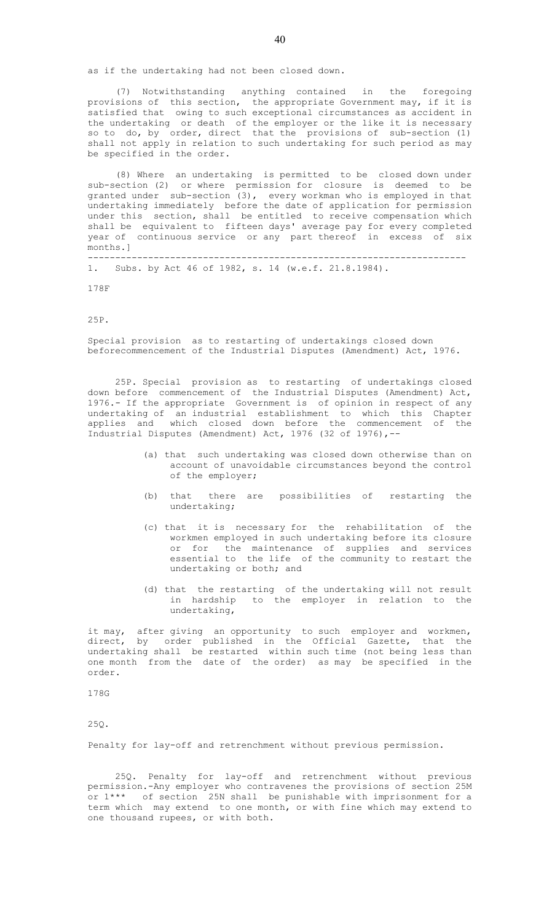as if the undertaking had not been closed down.

 (7) Notwithstanding anything contained in the foregoing provisions of this section, the appropriate Government may, if it is satisfied that owing to such exceptional circumstances as accident in the undertaking or death of the employer or the like it is necessary so to do, by order, direct that the provisions of sub-section (1) shall not apply in relation to such undertaking for such period as may be specified in the order.

 (8) Where an undertaking is permitted to be closed down under sub-section (2) or where permission for closure is deemed to be granted under sub-section (3), every workman who is employed in that undertaking immediately before the date of application for permission under this section, shall be entitled to receive compensation which shall be equivalent to fifteen days' average pay for every completed year of continuous service or any part thereof in excess of six months.]

---------------------------------------------------------------------

1. Subs. by Act 46 of 1982, s. 14 (w.e.f. 21.8.1984).

178F

25P.

 Special provision as to restarting of undertakings closed down beforecommencement of the Industrial Disputes (Amendment) Act, 1976.

 25P. Special provision as to restarting of undertakings closed down before commencement of the Industrial Disputes (Amendment) Act, 1976.- If the appropriate Government is of opinion in respect of any undertaking of an industrial establishment to which this Chapter applies and which closed down before the commencement of the Industrial Disputes (Amendment) Act, 1976 (32 of 1976),--

- (a) that such undertaking was closed down otherwise than on account of unavoidable circumstances beyond the control of the employer;
- (b) that there are possibilities of restarting the undertaking;
- (c) that it is necessary for the rehabilitation of the workmen employed in such undertaking before its closure or for the maintenance of supplies and services essential to the life of the community to restart the undertaking or both; and
	- (d) that the restarting of the undertaking will not result in hardship to the employer in relation to the undertaking,

it may, after giving an opportunity to such employer and workmen, direct, by order published in the Official Gazette, that the undertaking shall be restarted within such time (not being less than one month from the date of the order) as may be specified in the order.

178G

25Q.

Penalty for lay-off and retrenchment without previous permission.

 25Q. Penalty for lay-off and retrenchment without previous permission.-Any employer who contravenes the provisions of section 25M or 1\*\*\* of section 25N shall be punishable with imprisonment for a term which may extend to one month, or with fine which may extend to one thousand rupees, or with both.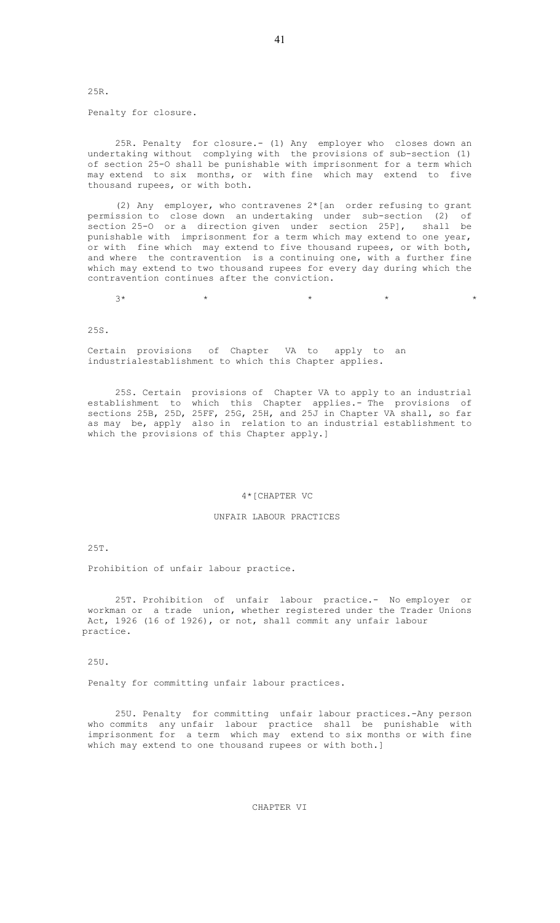25R.

Penalty for closure.

 25R. Penalty for closure.- (1) Any employer who closes down an undertaking without complying with the provisions of sub-section (1) of section 25-O shall be punishable with imprisonment for a term which may extend to six months, or with fine which may extend to five thousand rupees, or with both.

 (2) Any employer, who contravenes 2\*[an order refusing to grant permission to close down an undertaking under sub-section (2) of section 25-O or a direction given under section 25P], shall be punishable with imprisonment for a term which may extend to one year, or with fine which may extend to five thousand rupees, or with both, and where the contravention is a continuing one, with a further fine which may extend to two thousand rupees for every day during which the contravention continues after the conviction.

 $3^{\star}$  \* \* \* \* \* \* \* \* \*

25S.

 Certain provisions of Chapter VA to apply to an industrialestablishment to which this Chapter applies.

 25S. Certain provisions of Chapter VA to apply to an industrial establishment to which this Chapter applies.- The provisions of sections 25B, 25D, 25FF, 25G, 25H, and 25J in Chapter VA shall, so far as may be, apply also in relation to an industrial establishment to which the provisions of this Chapter apply.]

# 4\*[CHAPTER VC

# UNFAIR LABOUR PRACTICES

25T.

Prohibition of unfair labour practice.

 25T. Prohibition of unfair labour practice.- No employer or workman or a trade union, whether registered under the Trader Unions Act, 1926 (16 of 1926), or not, shall commit any unfair labour practice.

25U.

Penalty for committing unfair labour practices.

 25U. Penalty for committing unfair labour practices.-Any person who commits any unfair labour practice shall be punishable with imprisonment for a term which may extend to six months or with fine which may extend to one thousand rupees or with both.]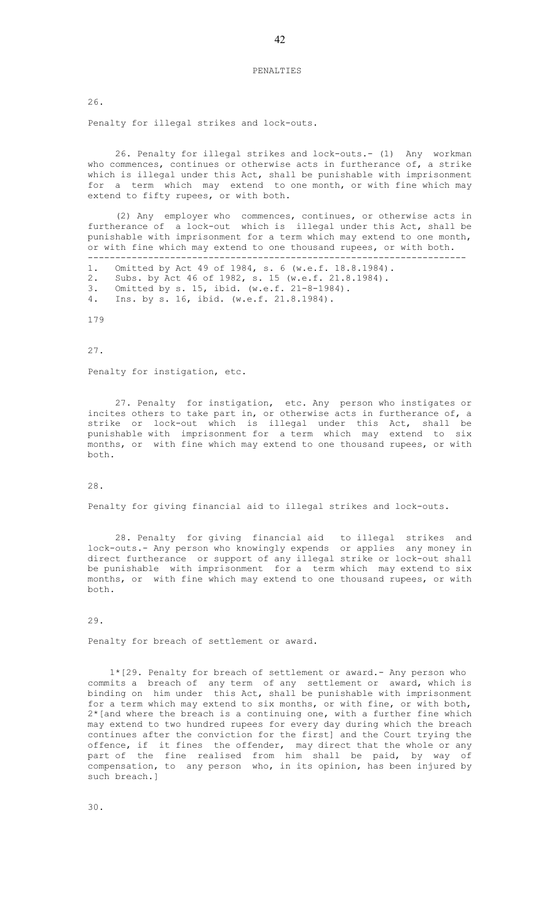## PENALTIES

 26. Penalty for illegal strikes and lock-outs.

 26. Penalty for illegal strikes and lock-outs.- (1) Any workman who commences, continues or otherwise acts in furtherance of, a strike which is illegal under this Act, shall be punishable with imprisonment for a term which may extend to one month, or with fine which may extend to fifty rupees, or with both.

 (2) Any employer who commences, continues, or otherwise acts in furtherance of a lock-out which is illegal under this Act, shall be punishable with imprisonment for a term which may extend to one month, or with fine which may extend to one thousand rupees, or with both. ---------------------------------------------------------------------

```
 1. Omitted by Act 49 of 1984, s. 6 (w.e.f. 18.8.1984). 
2. Subs. by Act 46 of 1982, s. 15 (w.e.f. 21.8.1984). 
3. Omitted by s. 15, ibid. (w.e.f. 21-8-1984). 
4. Ins. by s. 16, ibid. (w.e.f. 21.8.1984).
```
179

27.

Penalty for instigation, etc.

 27. Penalty for instigation, etc. Any person who instigates or incites others to take part in, or otherwise acts in furtherance of, a strike or lock-out which is illegal under this Act, shall be punishable with imprisonment for a term which may extend to six months, or with fine which may extend to one thousand rupees, or with both.

28.

Penalty for giving financial aid to illegal strikes and lock-outs.

 28. Penalty for giving financial aid to illegal strikes and lock-outs.- Any person who knowingly expends or applies any money in direct furtherance or support of any illegal strike or lock-out shall be punishable with imprisonment for a term which may extend to six months, or with fine which may extend to one thousand rupees, or with both.

29.

Penalty for breach of settlement or award.

 1\*[29. Penalty for breach of settlement or award.- Any person who commits a breach of any term of any settlement or award, which is binding on him under this Act, shall be punishable with imprisonment for a term which may extend to six months, or with fine, or with both,  $2*($ and where the breach is a continuing one, with a further fine which may extend to two hundred rupees for every day during which the breach continues after the conviction for the first] and the Court trying the offence, if it fines the offender, may direct that the whole or any part of the fine realised from him shall be paid, by way of compensation, to any person who, in its opinion, has been injured by such breach.]

30.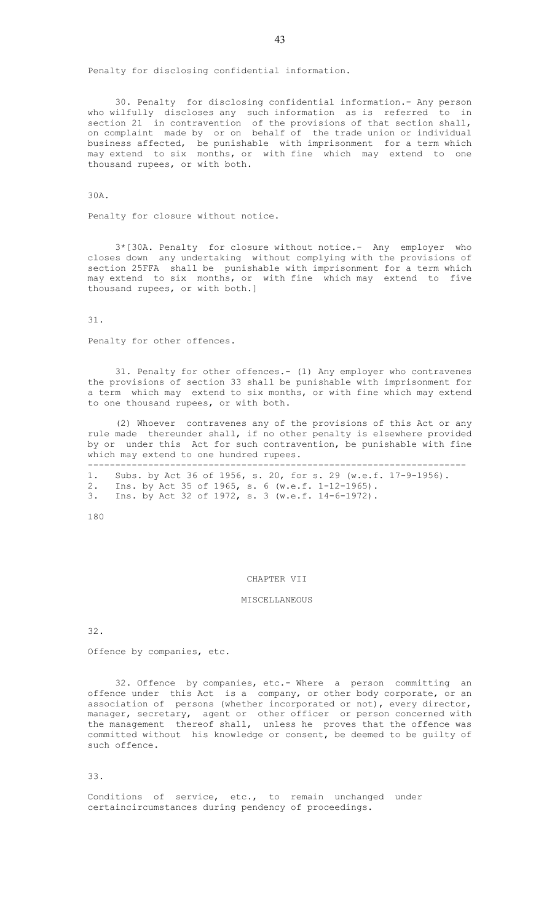Penalty for disclosing confidential information.

 30. Penalty for disclosing confidential information.- Any person who wilfully discloses any such information as is referred to in section 21 in contravention of the provisions of that section shall, on complaint made by or on behalf of the trade union or individual business affected, be punishable with imprisonment for a term which may extend to six months, or with fine which may extend to one thousand rupees, or with both.

30A.

Penalty for closure without notice.

 3\*[30A. Penalty for closure without notice.- Any employer who closes down any undertaking without complying with the provisions of section 25FFA shall be punishable with imprisonment for a term which may extend to six months, or with fine which may extend to five thousand rupees, or with both.]

31.

Penalty for other offences.

 31. Penalty for other offences.- (1) Any employer who contravenes the provisions of section 33 shall be punishable with imprisonment for a term which may extend to six months, or with fine which may extend to one thousand rupees, or with both.

 (2) Whoever contravenes any of the provisions of this Act or any rule made thereunder shall, if no other penalty is elsewhere provided by or under this Act for such contravention, be punishable with fine which may extend to one hundred rupees. ---------------------------------------------------------------------

 1. Subs. by Act 36 of 1956, s. 20, for s. 29 (w.e.f. 17-9-1956). 2. Ins. by Act 35 of 1965, s. 6 (w.e.f. 1-12-1965). 3. Ins. by Act 32 of 1972, s. 3 (w.e.f. 14-6-1972).

180

#### CHAPTER VII

# MISCELLANEOUS

32.

Offence by companies, etc.

 32. Offence by companies, etc.- Where a person committing an offence under this Act is a company, or other body corporate, or an association of persons (whether incorporated or not), every director, manager, secretary, agent or other officer or person concerned with the management thereof shall, unless he proves that the offence was committed without his knowledge or consent, be deemed to be guilty of such offence.

33.

 Conditions of service, etc., to remain unchanged under certaincircumstances during pendency of proceedings.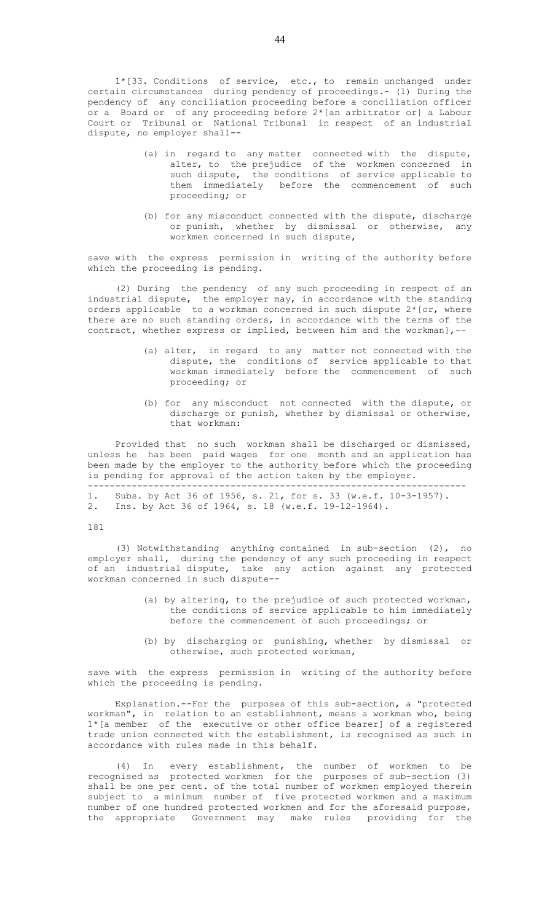1\*[33. Conditions of service, etc., to remain unchanged under certain circumstances during pendency of proceedings.- (1) During the pendency of any conciliation proceeding before a conciliation officer or a Board or of any proceeding before 2\*[an arbitrator or] a Labour Court or Tribunal or National Tribunal in respect of an industrial dispute, no employer shall--

- (a) in regard to any matter connected with the dispute, alter, to the prejudice of the workmen concerned in such dispute, the conditions of service applicable to them immediately before the commencement of such proceeding; or
	- (b) for any misconduct connected with the dispute, discharge or punish, whether by dismissal or otherwise, any workmen concerned in such dispute,

 save with the express permission in writing of the authority before which the proceeding is pending.

 (2) During the pendency of any such proceeding in respect of an industrial dispute, the employer may, in accordance with the standing orders applicable to a workman concerned in such dispute 2\*[or, where there are no such standing orders, in accordance with the terms of the contract, whether express or implied, between him and the workman],--

- (a) alter, in regard to any matter not connected with the dispute, the conditions of service applicable to that workman immediately before the commencement of such proceeding; or
	- (b) for any misconduct not connected with the dispute, or discharge or punish, whether by dismissal or otherwise, that workman:

 Provided that no such workman shall be discharged or dismissed, unless he has been paid wages for one month and an application has been made by the employer to the authority before which the proceeding is pending for approval of the action taken by the employer.

 --------------------------------------------------------------------- 1. Subs. by Act 36 of 1956, s. 21, for s. 33 (w.e.f. 10-3-1957).<br>2. Ins. by Act 36 of 1964, s. 18 (w.e.f. 19-12-1964). Ins. by Act 36 of 1964, s. 18 (w.e.f. 19-12-1964).

181

 (3) Notwithstanding anything contained in sub-section (2), no employer shall, during the pendency of any such proceeding in respect of an industrial dispute, take any action against any protected workman concerned in such dispute--

- (a) by altering, to the prejudice of such protected workman, the conditions of service applicable to him immediately before the commencement of such proceedings; or
- (b) by discharging or punishing, whether by dismissal or otherwise, such protected workman,

 save with the express permission in writing of the authority before which the proceeding is pending.

 Explanation.--For the purposes of this sub-section, a "protected workman", in relation to an establishment, means a workman who, being 1\*[a member of the executive or other office bearer] of a registered trade union connected with the establishment, is recognised as such in accordance with rules made in this behalf.

 (4) In every establishment, the number of workmen to be recognised as protected workmen for the purposes of sub-section (3) shall be one per cent. of the total number of workmen employed therein subject to a minimum number of five protected workmen and a maximum number of one hundred protected workmen and for the aforesaid purpose,<br>the appropriate Government may make rules providing for the the appropriate Government may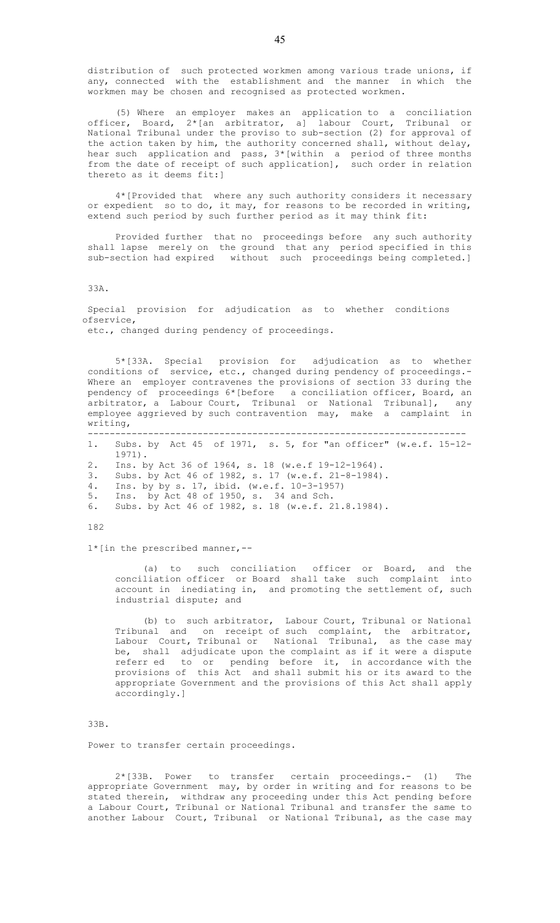distribution of such protected workmen among various trade unions, if any, connected with the establishment and the manner in which the workmen may be chosen and recognised as protected workmen.

 (5) Where an employer makes an application to a conciliation officer, Board, 2\*[an arbitrator, a] labour Court, Tribunal or National Tribunal under the proviso to sub-section (2) for approval of the action taken by him, the authority concerned shall, without delay, hear such application and pass, 3\*[within a period of three months from the date of receipt of such application], such order in relation thereto as it deems fit:]

 4\*[Provided that where any such authority considers it necessary or expedient so to do, it may, for reasons to be recorded in writing, extend such period by such further period as it may think fit:

 Provided further that no proceedings before any such authority shall lapse merely on the ground that any period specified in this sub-section had expired without such proceedings being completed.]

33A.

 Special provision for adjudication as to whether conditions ofservice, etc., changed during pendency of proceedings.

 5\*[33A. Special provision for adjudication as to whether conditions of service, etc., changed during pendency of proceedings.- Where an employer contravenes the provisions of section 33 during the pendency of proceedings 6\*[before a conciliation officer, Board, an arbitrator, a Labour Court, Tribunal or National Tribunal], any employee aggrieved by such contravention may, make a camplaint in writing,

 --------------------------------------------------------------------- 1. Subs. by Act 45 of 1971, s. 5, for "an officer" (w.e.f. 15-12-  $1971$ ).<br>2 Ins h 2. Ins. by Act 36 of 1964, s. 18 (w.e.f 19-12-1964).<br>3. Subs. by Act 46 of 1982, s. 17 (w.e.f. 21-8-1984) Subs. by Act 46 of 1982, s. 17 (w.e.f. 21-8-1984). 4. Ins. by by s. 17, ibid. (w.e.f. 10-3-1957)

5. Ins. by Act 48 of 1950, s. 34 and Sch.

6. Subs. by Act 46 of 1982, s. 18 (w.e.f. 21.8.1984).

182

1\*[in the prescribed manner,--

 (a) to such conciliation officer or Board, and the conciliation officer or Board shall take such complaint into account in inediating in, and promoting the settlement of, such industrial dispute; and

 (b) to such arbitrator, Labour Court, Tribunal or National Tribunal and on receipt of such complaint, the arbitrator, Labour Court, Tribunal or National Tribunal, as the case may be, shall adjudicate upon the complaint as if it were a dispute referr ed to or pending before it, in accordance with the provisions of this Act and shall submit his or its award to the appropriate Government and the provisions of this Act shall apply accordingly.]

33B.

Power to transfer certain proceedings.

 2\*[33B. Power to transfer certain proceedings.- (1) The appropriate Government may, by order in writing and for reasons to be stated therein, withdraw any proceeding under this Act pending before a Labour Court, Tribunal or National Tribunal and transfer the same to another Labour Court, Tribunal or National Tribunal, as the case may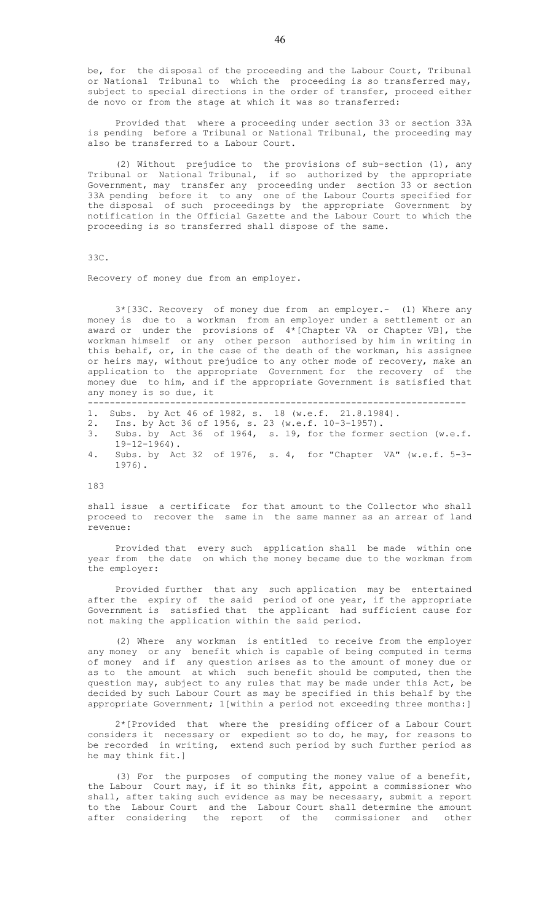be, for the disposal of the proceeding and the Labour Court, Tribunal or National Tribunal to which the proceeding is so transferred may, subject to special directions in the order of transfer, proceed either de novo or from the stage at which it was so transferred:

 Provided that where a proceeding under section 33 or section 33A is pending before a Tribunal or National Tribunal, the proceeding may also be transferred to a Labour Court.

 (2) Without prejudice to the provisions of sub-section (1), any Tribunal or National Tribunal, if so authorized by the appropriate Government, may transfer any proceeding under section 33 or section 33A pending before it to any one of the Labour Courts specified for the disposal of such proceedings by the appropriate Government by notification in the Official Gazette and the Labour Court to which the proceeding is so transferred shall dispose of the same.

33C.

Recovery of money due from an employer.

 3\*[33C. Recovery of money due from an employer.- (1) Where any money is due to a workman from an employer under a settlement or an award or under the provisions of 4\*[Chapter VA or Chapter VB], the workman himself or any other person authorised by him in writing in this behalf, or, in the case of the death of the workman, his assignee or heirs may, without prejudice to any other mode of recovery, make an application to the appropriate Government for the recovery of the money due to him, and if the appropriate Government is satisfied that any money is so due, it

---------------------------------------------------------------------

- 1. Subs. by Act 46 of 1982, s. 18 (w.e.f. 21.8.1984).
- 2. Ins. by Act 36 of 1956, s. 23 (w.e.f. 10-3-1957). 3. Subs. by Act 36 of 1964, s. 19, for the former section (w.e.f.
- 19-12-1964).
- 4. Subs. by Act 32 of 1976, s. 4, for "Chapter VA" (w.e.f. 5-3- 1976).

183

 shall issue a certificate for that amount to the Collector who shall proceed to recover the same in the same manner as an arrear of land revenue:

 Provided that every such application shall be made within one year from the date on which the money became due to the workman from the employer:

 Provided further that any such application may be entertained after the expiry of the said period of one year, if the appropriate Government is satisfied that the applicant had sufficient cause for not making the application within the said period.

 (2) Where any workman is entitled to receive from the employer any money or any benefit which is capable of being computed in terms of money and if any question arises as to the amount of money due or as to the amount at which such benefit should be computed, then the question may, subject to any rules that may be made under this Act, be decided by such Labour Court as may be specified in this behalf by the appropriate Government; 1[within a period not exceeding three months:]

 2\*[Provided that where the presiding officer of a Labour Court considers it necessary or expedient so to do, he may, for reasons to be recorded in writing, extend such period by such further period as he may think fit.]

 (3) For the purposes of computing the money value of a benefit, the Labour Court may, if it so thinks fit, appoint a commissioner who shall, after taking such evidence as may be necessary, submit a report to the Labour Court and the Labour Court shall determine the amount<br>after considering the report of the commissioner and other after considering the report of the commissioner and other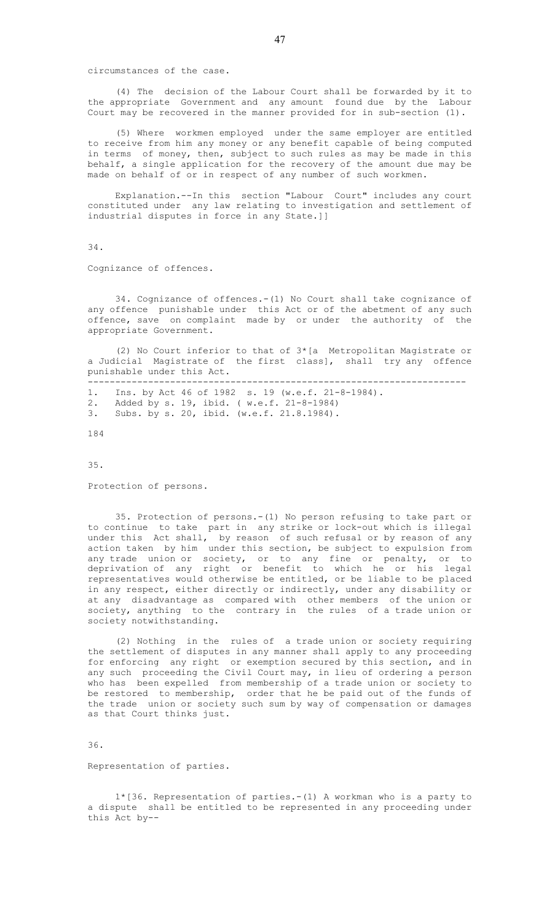circumstances of the case.

 (4) The decision of the Labour Court shall be forwarded by it to the appropriate Government and any amount found due by the Labour Court may be recovered in the manner provided for in sub-section (1).

 (5) Where workmen employed under the same employer are entitled to receive from him any money or any benefit capable of being computed in terms of money, then, subject to such rules as may be made in this behalf, a single application for the recovery of the amount due may be made on behalf of or in respect of any number of such workmen.

 Explanation.--In this section "Labour Court" includes any court constituted under any law relating to investigation and settlement of industrial disputes in force in any State.]]

34.

Cognizance of offences.

 34. Cognizance of offences.-(1) No Court shall take cognizance of any offence punishable under this Act or of the abetment of any such offence, save on complaint made by or under the authority of the appropriate Government.

 (2) No Court inferior to that of 3\*[a Metropolitan Magistrate or a Judicial Magistrate of the first class], shall try any offence punishable under this Act.

 --------------------------------------------------------------------- Ins. by Act 46 of 1982 s. 19 (w.e.f. 21-8-1984). 2. Added by s. 19, ibid. ( w.e.f. 21-8-1984) 3. Subs. by s. 20, ibid. (w.e.f. 21.8.1984).

184

35.

Protection of persons.

 35. Protection of persons.-(1) No person refusing to take part or to continue to take part in any strike or lock-out which is illegal under this Act shall, by reason of such refusal or by reason of any action taken by him under this section, be subject to expulsion from any trade union or society, or to any fine or penalty, or to deprivation of any right or benefit to which he or his legal representatives would otherwise be entitled, or be liable to be placed in any respect, either directly or indirectly, under any disability or at any disadvantage as compared with other members of the union or society, anything to the contrary in the rules of a trade union or society notwithstanding.

 (2) Nothing in the rules of a trade union or society requiring the settlement of disputes in any manner shall apply to any proceeding for enforcing any right or exemption secured by this section, and in any such proceeding the Civil Court may, in lieu of ordering a person who has been expelled from membership of a trade union or society to be restored to membership, order that he be paid out of the funds of the trade union or society such sum by way of compensation or damages as that Court thinks just.

36.

Representation of parties.

 1\*[36. Representation of parties.-(1) A workman who is a party to a dispute shall be entitled to be represented in any proceeding under this Act by--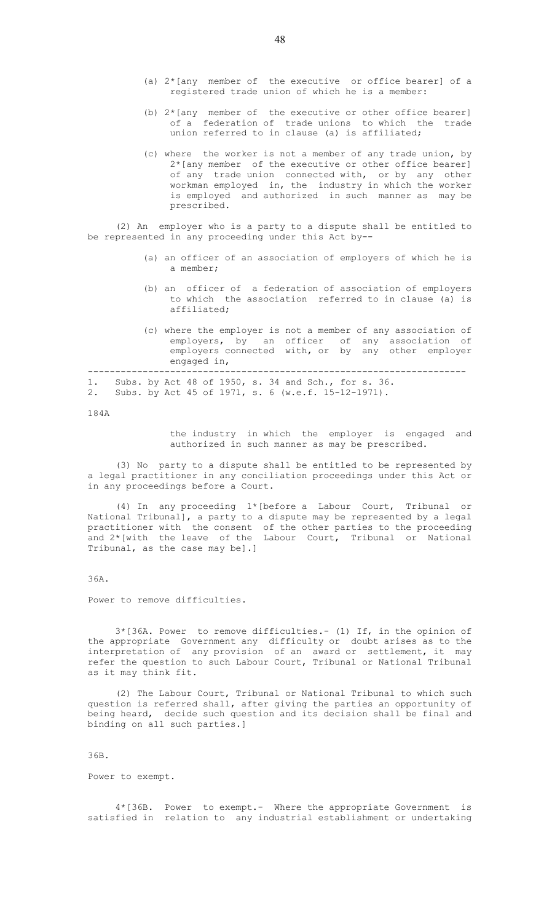- (a) 2\*[any member of the executive or office bearer] of a registered trade union of which he is a member:
- (b) 2\*[any member of the executive or other office bearer] of a federation of trade unions to which the trade union referred to in clause (a) is affiliated;
	- (c) where the worker is not a member of any trade union, by 2\*[any member of the executive or other office bearer] of any trade union connected with, or by any other workman employed in, the industry in which the worker is employed and authorized in such manner as may be prescribed.

 (2) An employer who is a party to a dispute shall be entitled to be represented in any proceeding under this Act by--

- (a) an officer of an association of employers of which he is a member;
- (b) an officer of a federation of association of employers to which the association referred to in clause (a) is affiliated;
- (c) where the employer is not a member of any association of employers, by an officer of any association of employers connected with, or by any other employer engaged in,

 --------------------------------------------------------------------- 1. Subs. by Act 48 of 1950, s. 34 and Sch., for s. 36.

2. Subs. by Act 45 of 1971, s. 6 (w.e.f. 15-12-1971).

184A

 the industry in which the employer is engaged and authorized in such manner as may be prescribed.

 (3) No party to a dispute shall be entitled to be represented by a legal practitioner in any conciliation proceedings under this Act or in any proceedings before a Court.

 (4) In any proceeding 1\*[before a Labour Court, Tribunal or National Tribunal], a party to a dispute may be represented by a legal practitioner with the consent of the other parties to the proceeding and  $2*$ [with the leave of the Labour Court, Tribunal or National Tribunal, as the case may be].]

36A.

Power to remove difficulties.

 3\*[36A. Power to remove difficulties.- (1) If, in the opinion of the appropriate Government any difficulty or doubt arises as to the interpretation of any provision of an award or settlement, it may refer the question to such Labour Court, Tribunal or National Tribunal as it may think fit.

 (2) The Labour Court, Tribunal or National Tribunal to which such question is referred shall, after giving the parties an opportunity of being heard, decide such question and its decision shall be final and binding on all such parties.]

36B.

Power to exempt.

 4\*[36B. Power to exempt.- Where the appropriate Government is satisfied in relation to any industrial establishment or undertaking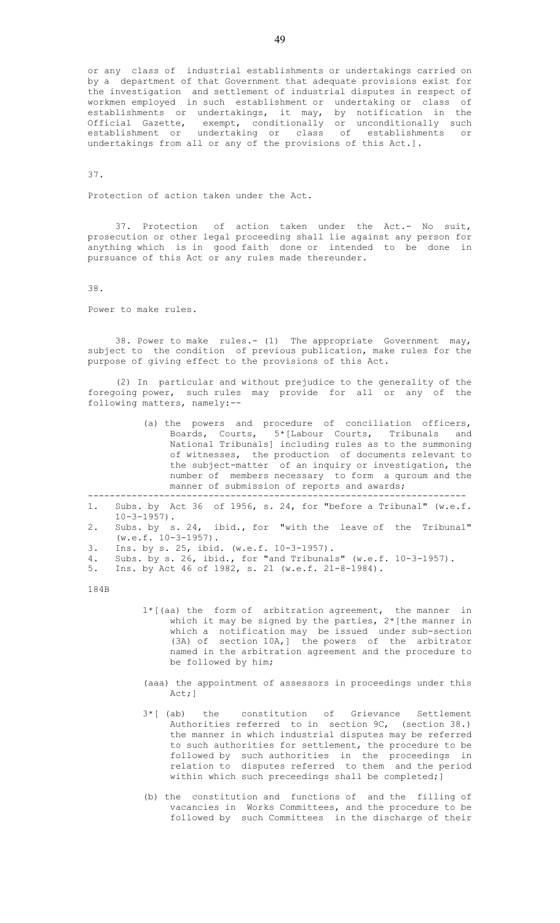or any class of industrial establishments or undertakings carried on by a department of that Government that adequate provisions exist for the investigation and settlement of industrial disputes in respect of workmen employed in such establishment or undertaking or class of establishments or undertakings, it may, by notification in the Official Gazette, exempt, conditionally or unconditionally such establishment or undertaking or class of establishments or undertakings from all or any of the provisions of this Act.].

### 37.

Protection of action taken under the Act.

 37. Protection of action taken under the Act.- No suit, prosecution or other legal proceeding shall lie against any person for anything which is in good faith done or intended to be done in pursuance of this Act or any rules made thereunder.

38.

Power to make rules.

 38. Power to make rules.- (1) The appropriate Government may, subject to the condition of previous publication, make rules for the purpose of giving effect to the provisions of this Act.

 (2) In particular and without prejudice to the generality of the foregoing power, such rules may provide for all or any of the following matters, namely:--

- (a) the powers and procedure of conciliation officers, Boards, Courts, 5\*[Labour Courts, Tribunals and National Tribunals] including rules as to the summoning of witnesses, the production of documents relevant to the subject-matter of an inquiry or investigation, the number of members necessary to form a quroum and the manner of submission of reports and awards;
- --------------------------------------------------------------------- 1. Subs. by Act 36 of 1956, s. 24, for "before a Tribunal" (w.e.f.  $10-3-1957$ ).
- 2. Subs. by s. 24, ibid., for "with the leave of the Tribunal"  $(w.e.f. 10-3-1957)$ .<br>3. Ins. by s. 25. ibid.
- Ins. by s. 25, ibid. (w.e.f. 10-3-1957).
- 4. Subs. by s. 26, ibid., for "and Tribunals" (w.e.f. 10-3-1957).
- 5. Ins. by Act 46 of 1982, s. 21 (w.e.f. 21-8-1984).

184B

- 1\*[(aa) the form of arbitration agreement, the manner in which it may be signed by the parties,  $2*($  the manner in which a notification may be issued under sub-section (3A) of section 10A,] the powers of the arbitrator named in the arbitration agreement and the procedure to be followed by him;
	- (aaa) the appointment of assessors in proceedings under this Act;]
- 3\*[ (ab) the constitution of Grievance Settlement Authorities referred to in section 9C, (section 38.) the manner in which industrial disputes may be referred to such authorities for settlement, the procedure to be followed by such authorities in the proceedings in relation to disputes referred to them and the period within which such preceedings shall be completed; ]
	- (b) the constitution and functions of and the filling of vacancies in Works Committees, and the procedure to be followed by such Committees in the discharge of their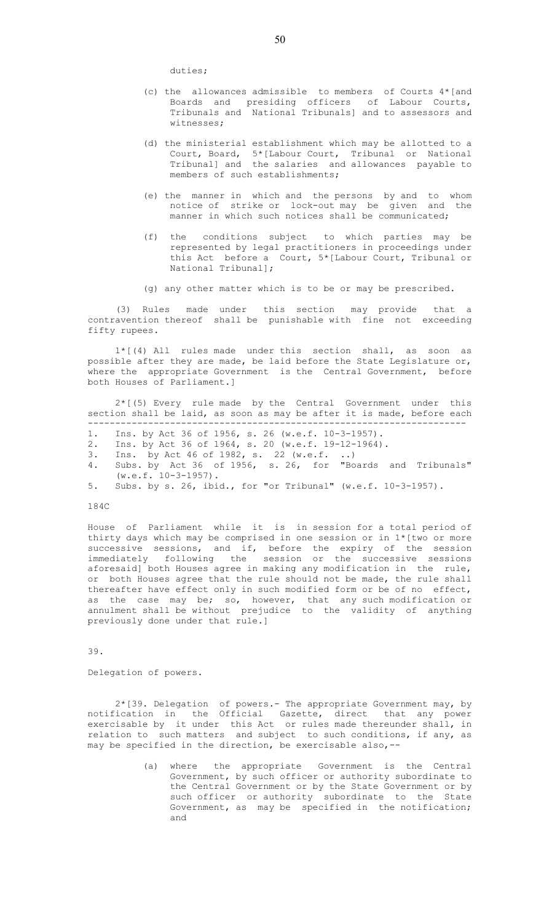duties;

- (c) the allowances admissible to members of Courts  $4*$  [and Boards and presiding officers of Labour Courts, Tribunals and National Tribunals] and to assessors and witnesses;
- (d) the ministerial establishment which may be allotted to a Court, Board, 5\*[Labour Court, Tribunal or National Tribunal] and the salaries and allowances payable to members of such establishments;
- (e) the manner in which and the persons by and to whom notice of strike or lock-out may be given and the manner in which such notices shall be communicated;
	- (f) the conditions subject to which parties may be represented by legal practitioners in proceedings under this Act before a Court, 5\*[Labour Court, Tribunal or National Tribunal];
	- (g) any other matter which is to be or may be prescribed.

 (3) Rules made under this section may provide that a contravention thereof shall be punishable with fine not exceeding fifty rupees.

 1\*[(4) All rules made under this section shall, as soon as possible after they are made, be laid before the State Legislature or, where the appropriate Government is the Central Government, before both Houses of Parliament.]

 2\*[(5) Every rule made by the Central Government under this section shall be laid, as soon as may be after it is made, before each ---------------------------------------------------------------------

- 1. Ins. by Act 36 of 1956, s. 26 (w.e.f. 10-3-1957).
- 2. Ins. by Act 36 of 1964, s. 20 (w.e.f. 19-12-1964).
- 3. Ins. by Act 46 of 1982, s. 22 (w.e.f. ..)
- 4. Subs. by Act 36 of 1956, s. 26, for "Boards and Tribunals"  $(w.e.f. 10-3-1957)$ .
- 5. Subs. by s. 26, ibid., for "or Tribunal" (w.e.f. 10-3-1957).

184C

 House of Parliament while it is in session for a total period of thirty days which may be comprised in one session or in 1\*[two or more successive sessions, and if, before the expiry of the session immediately following the session or the successive sessions aforesaid] both Houses agree in making any modification in the rule, or both Houses agree that the rule should not be made, the rule shall thereafter have effect only in such modified form or be of no effect, as the case may be; so, however, that any such modification or annulment shall be without prejudice to the validity of anything previously done under that rule.]

39.

Delegation of powers.

 2\*[39. Delegation of powers.- The appropriate Government may, by notification in the Official Gazette, direct that any power exercisable by it under this Act or rules made thereunder shall, in relation to such matters and subject to such conditions, if any, as may be specified in the direction, be exercisable also,--

> (a) where the appropriate Government is the Central Government, by such officer or authority subordinate to the Central Government or by the State Government or by such officer or authority subordinate to the State Government, as may be specified in the notification; and